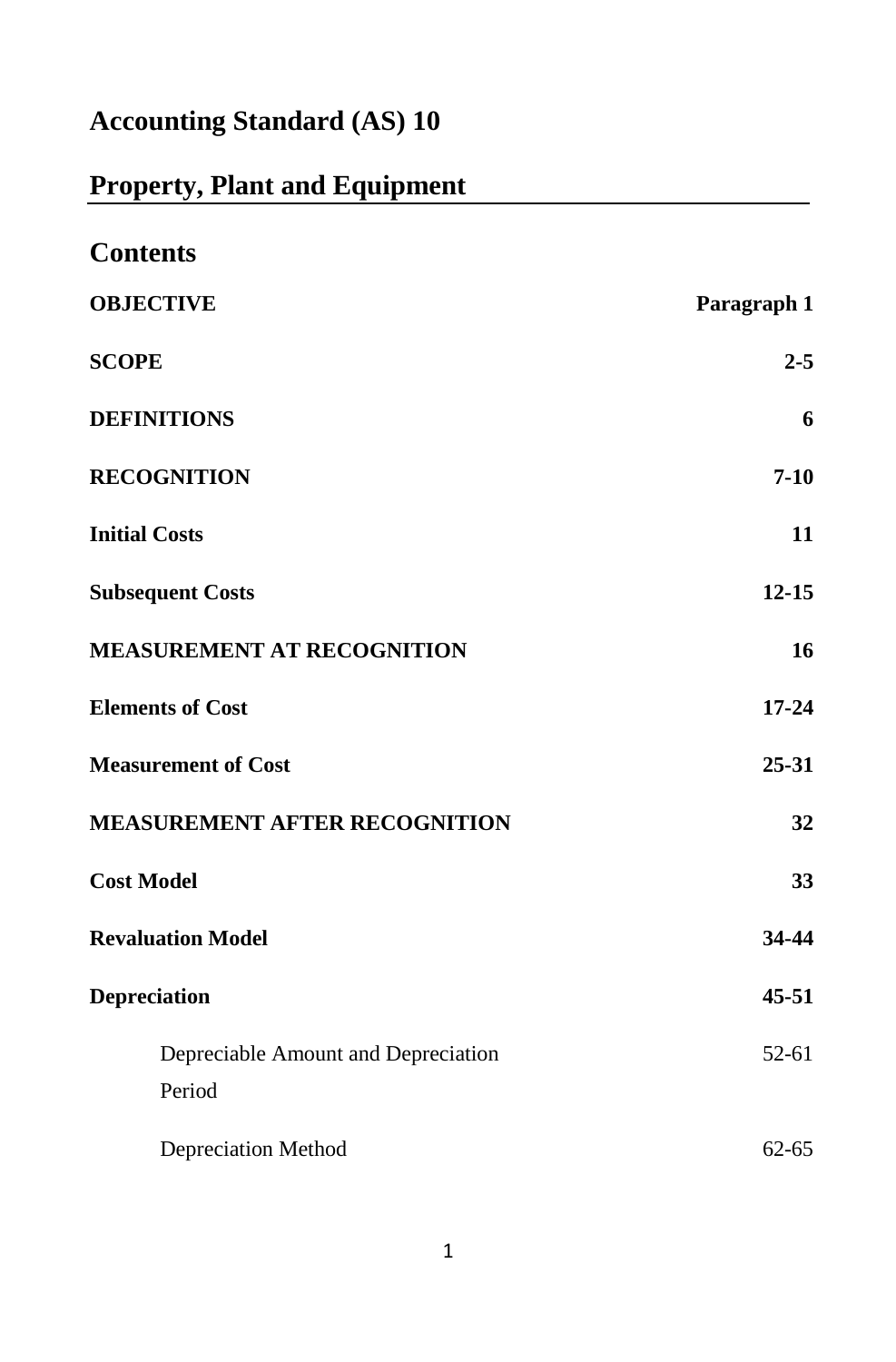# **Accounting Standard (AS) 10**

# **Property, Plant and Equipment**

| <b>Contents</b>                               |             |
|-----------------------------------------------|-------------|
| <b>OBJECTIVE</b>                              | Paragraph 1 |
| <b>SCOPE</b>                                  | $2 - 5$     |
| <b>DEFINITIONS</b>                            | 6           |
| <b>RECOGNITION</b>                            | $7 - 10$    |
| <b>Initial Costs</b>                          | 11          |
| <b>Subsequent Costs</b>                       | $12 - 15$   |
| <b>MEASUREMENT AT RECOGNITION</b>             | 16          |
| <b>Elements of Cost</b>                       | $17 - 24$   |
| <b>Measurement of Cost</b>                    | 25-31       |
| <b>MEASUREMENT AFTER RECOGNITION</b>          | 32          |
| <b>Cost Model</b>                             | 33          |
| <b>Revaluation Model</b>                      | 34-44       |
| <b>Depreciation</b>                           | $45 - 51$   |
| Depreciable Amount and Depreciation<br>Period | $52 - 61$   |
| <b>Depreciation Method</b>                    | $62 - 65$   |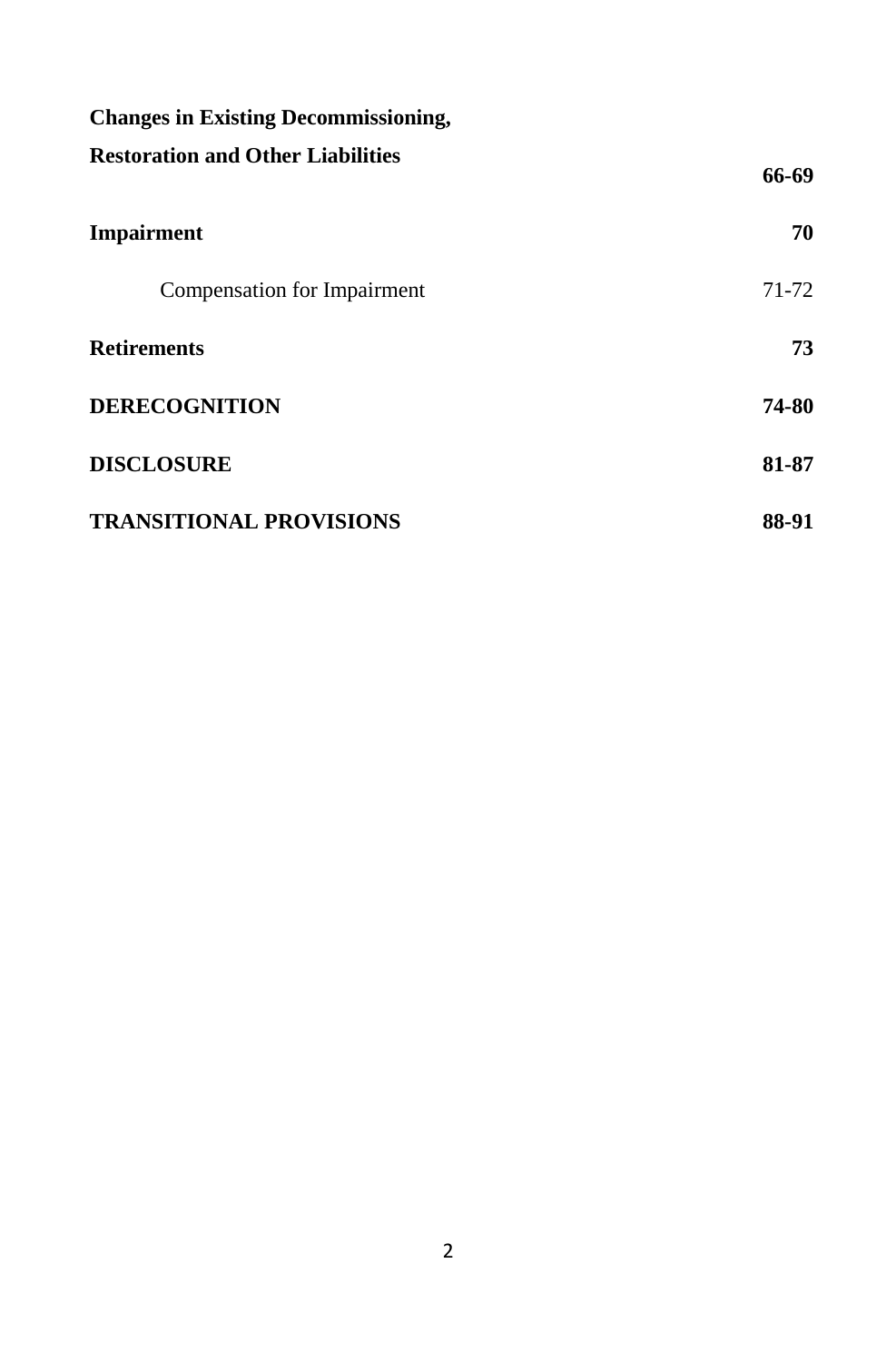# **Changes in Existing Decommissioning, Restoration and Other Liabilities**

| Restoration and Other Liabilities | 66-69 |
|-----------------------------------|-------|
| <b>Impairment</b>                 | 70    |
| Compensation for Impairment       | 71-72 |
| <b>Retirements</b>                | 73    |
| <b>DERECOGNITION</b>              | 74-80 |
| <b>DISCLOSURE</b>                 | 81-87 |
| <b>TRANSITIONAL PROVISIONS</b>    | 88-91 |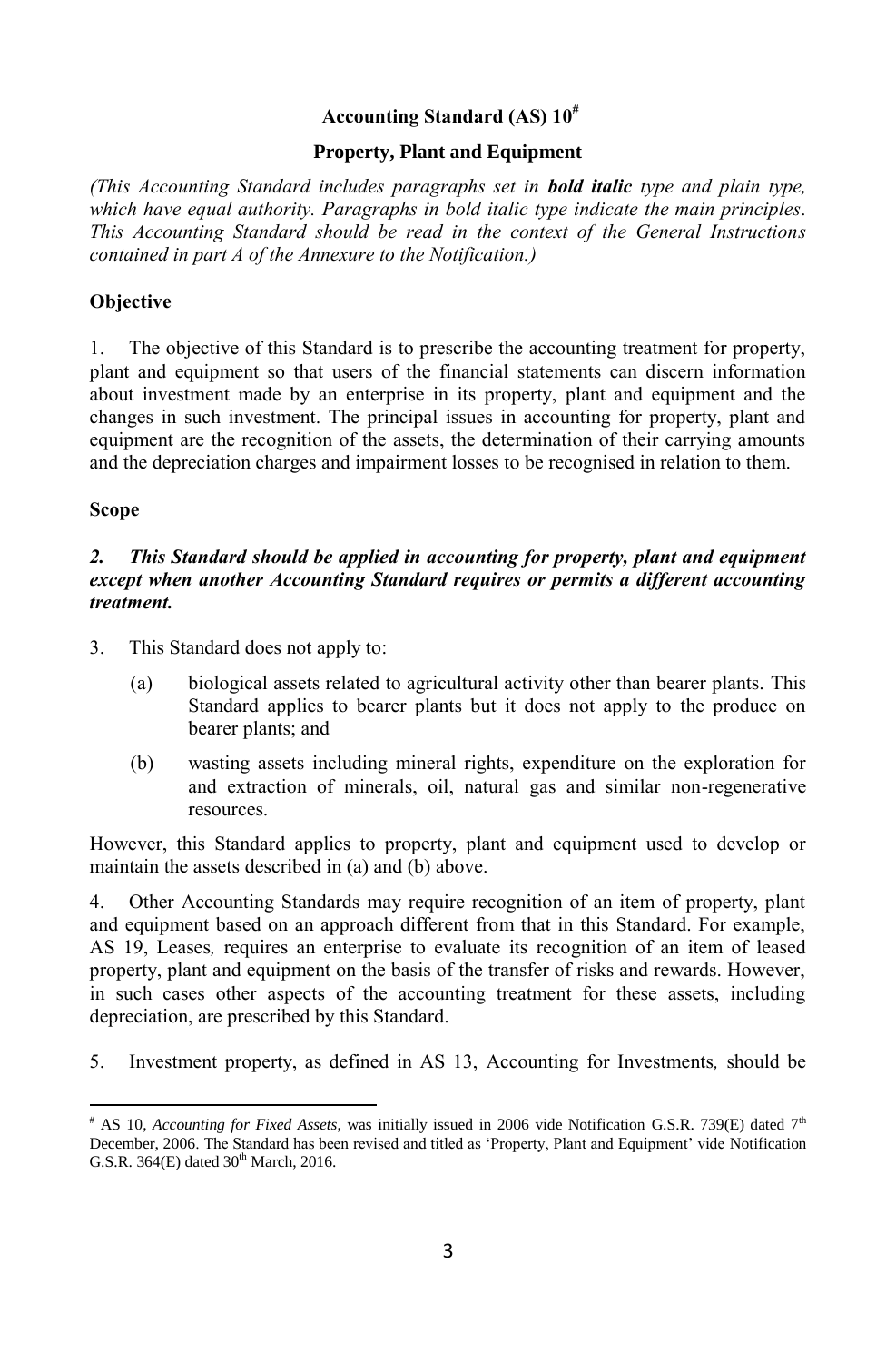# **Accounting Standard (AS) 10 #**

#### **Property, Plant and Equipment**

*(This Accounting Standard includes paragraphs set in bold italic type and plain type, which have equal authority. Paragraphs in bold italic type indicate the main principles. This Accounting Standard should be read in the context of the General Instructions contained in part A of the Annexure to the Notification.)*

#### **Objective**

1. The objective of this Standard is to prescribe the accounting treatment for property, plant and equipment so that users of the financial statements can discern information about investment made by an enterprise in its property, plant and equipment and the changes in such investment. The principal issues in accounting for property, plant and equipment are the recognition of the assets, the determination of their carrying amounts and the depreciation charges and impairment losses to be recognised in relation to them.

#### **Scope**

 $\overline{\phantom{a}}$ 

#### *2. This Standard should be applied in accounting for property, plant and equipment except when another Accounting Standard requires or permits a different accounting treatment.*

- 3. This Standard does not apply to:
	- (a) biological assets related to agricultural activity other than bearer plants. This Standard applies to bearer plants but it does not apply to the produce on bearer plants; and
	- (b) wasting assets including mineral rights, expenditure on the exploration for and extraction of minerals, oil, natural gas and similar non-regenerative resources.

However, this Standard applies to property, plant and equipment used to develop or maintain the assets described in (a) and (b) above.

4. Other Accounting Standards may require recognition of an item of property, plant and equipment based on an approach different from that in this Standard. For example, AS 19, Leases*,* requires an enterprise to evaluate its recognition of an item of leased property, plant and equipment on the basis of the transfer of risks and rewards. However, in such cases other aspects of the accounting treatment for these assets, including depreciation, are prescribed by this Standard.

5. Investment property, as defined in AS 13, Accounting for Investments*,* should be

<sup>#</sup> AS 10, *Accounting for Fixed Assets*, was initially issued in 2006 vide Notification [G.S.R. 739\(E\) dated 7](http://www.mca.gov.in/Ministry/notification/pdf/Notification_GSR_739.pdf)th [December, 2006.](http://www.mca.gov.in/Ministry/notification/pdf/Notification_GSR_739.pdf) The Standard has been revised and titled as 'Property, Plant and Equipment' vide Notification G.S.R.  $364(E)$  dated  $30<sup>th</sup>$  March, 2016.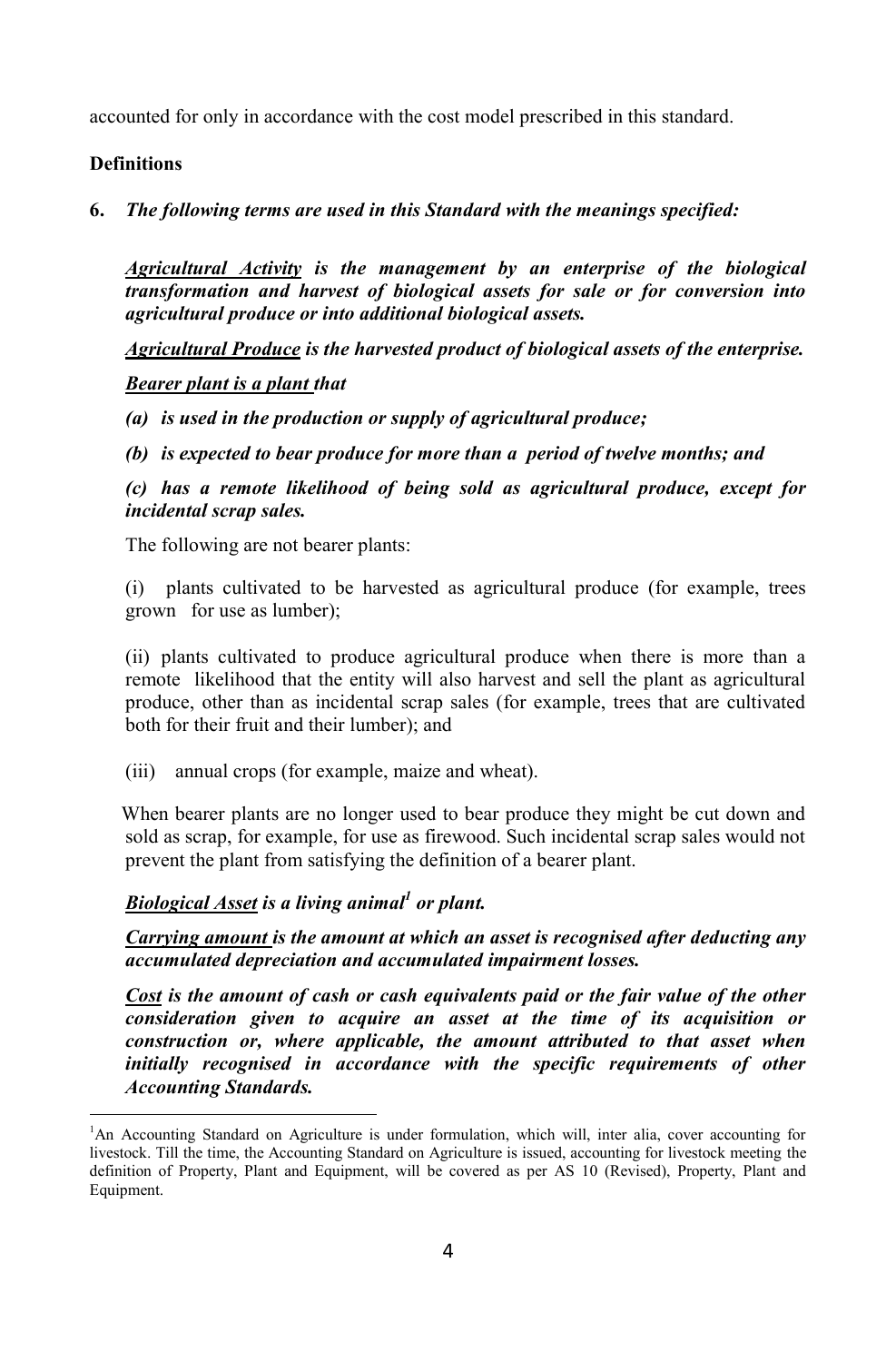accounted for only in accordance with the cost model prescribed in this standard.

# **Definitions**

 $\overline{\phantom{a}}$ 

**6.** *The following terms are used in this Standard with the meanings specified:*

*Agricultural Activity is the management by an enterprise of the biological transformation and harvest of biological assets for sale or for conversion into agricultural produce or into additional biological assets.*

*Agricultural Produce is the harvested product of biological assets of the enterprise.*

#### *Bearer plant is a plant that*

*(a) is used in the production or supply of agricultural produce;*

*(b) is expected to bear produce for more than a period of twelve months; and*

*(c) has a remote likelihood of being sold as agricultural produce, except for incidental scrap sales.*

The following are not bearer plants:

(i) plants cultivated to be harvested as agricultural produce (for example, trees grown for use as lumber);

(ii) plants cultivated to produce agricultural produce when there is more than a remote likelihood that the entity will also harvest and sell the plant as agricultural produce, other than as incidental scrap sales (for example, trees that are cultivated both for their fruit and their lumber); and

(iii) annual crops (for example, maize and wheat).

 When bearer plants are no longer used to bear produce they might be cut down and sold as scrap, for example, for use as firewood. Such incidental scrap sales would not prevent the plant from satisfying the definition of a bearer plant.

# *Biological Asset is a living animal<sup>1</sup> or plant.*

*Carrying amount is the amount at which an asset is recognised after deducting any accumulated depreciation and accumulated impairment losses.*

*Cost is the amount of cash or cash equivalents paid or the fair value of the other consideration given to acquire an asset at the time of its acquisition or construction or, where applicable, the amount attributed to that asset when initially recognised in accordance with the specific requirements of other Accounting Standards.*

<sup>&</sup>lt;sup>1</sup>An Accounting Standard on Agriculture is under formulation, which will, inter alia, cover accounting for livestock. Till the time, the Accounting Standard on Agriculture is issued, accounting for livestock meeting the definition of Property, Plant and Equipment, will be covered as per AS 10 (Revised), Property, Plant and Equipment.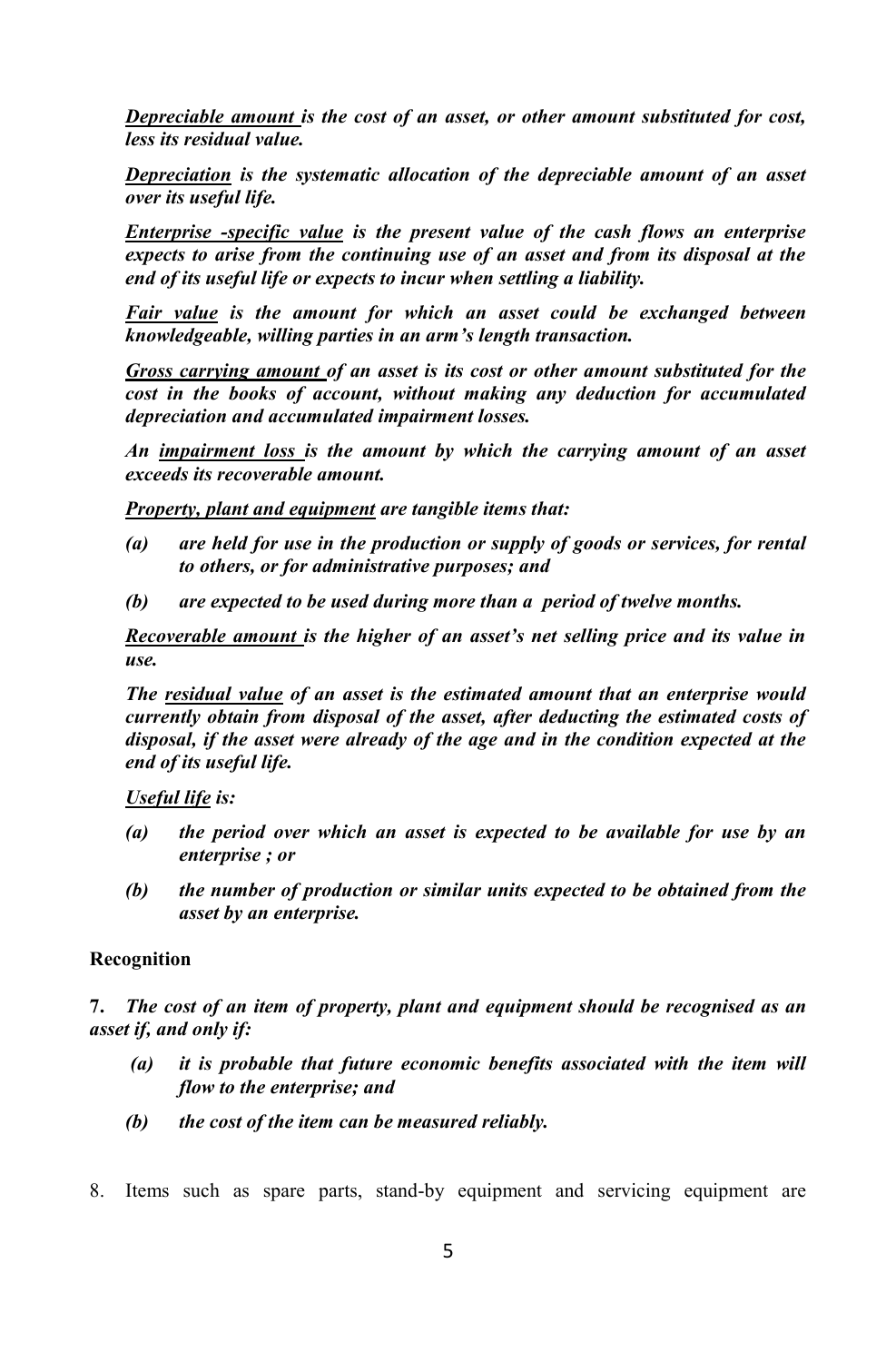*Depreciable amount is the cost of an asset, or other amount substituted for cost, less its residual value.*

*Depreciation is the systematic allocation of the depreciable amount of an asset over its useful life.*

*Enterprise -specific value is the present value of the cash flows an enterprise expects to arise from the continuing use of an asset and from its disposal at the end of its useful life or expects to incur when settling a liability.*

*Fair value is the amount for which an asset could be exchanged between knowledgeable, willing parties in an arm's length transaction.*

*Gross carrying amount of an asset is its cost or other amount substituted for the cost in the books of account, without making any deduction for accumulated depreciation and accumulated impairment losses.*

*An impairment loss is the amount by which the carrying amount of an asset exceeds its recoverable amount.*

*Property, plant and equipment are tangible items that:*

- *(a) are held for use in the production or supply of goods or services, for rental to others, or for administrative purposes; and*
- *(b) are expected to be used during more than a period of twelve months.*

*Recoverable amount is the higher of an asset's net selling price and its value in use.*

*The residual value of an asset is the estimated amount that an enterprise would currently obtain from disposal of the asset, after deducting the estimated costs of disposal, if the asset were already of the age and in the condition expected at the end of its useful life.*

#### *Useful life is:*

- *(a) the period over which an asset is expected to be available for use by an enterprise ; or*
- *(b) the number of production or similar units expected to be obtained from the asset by an enterprise.*

#### **Recognition**

**7.** *The cost of an item of property, plant and equipment should be recognised as an asset if, and only if:*

- *(a) it is probable that future economic benefits associated with the item will flow to the enterprise; and*
- *(b) the cost of the item can be measured reliably.*
- 8. Items such as spare parts, stand-by equipment and servicing equipment are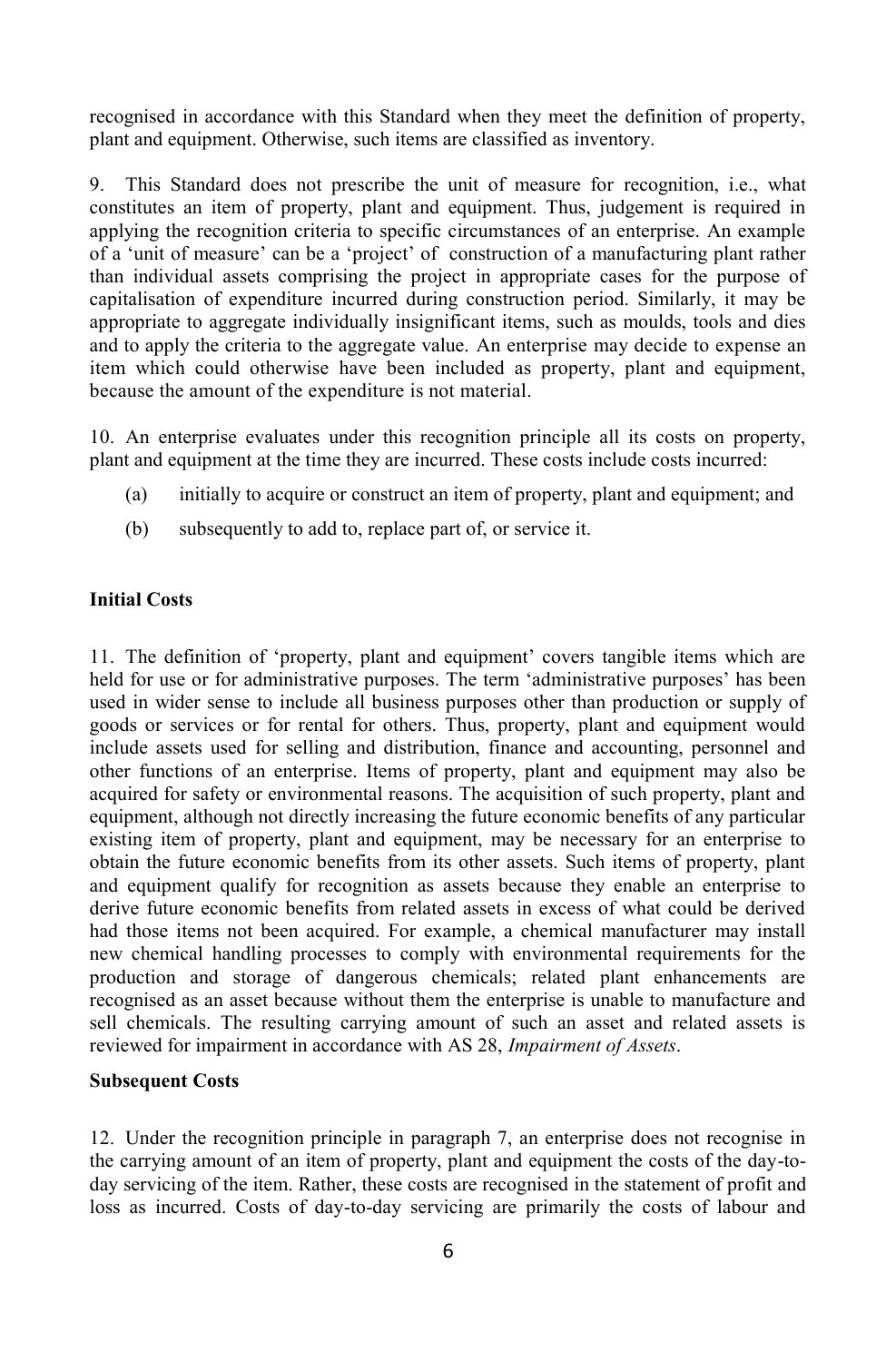recognised in accordance with this Standard when they meet the definition of property, plant and equipment. Otherwise, such items are classified as inventory.

9. This Standard does not prescribe the unit of measure for recognition, i.e., what constitutes an item of property, plant and equipment. Thus, judgement is required in applying the recognition criteria to specific circumstances of an enterprise. An example of a 'unit of measure' can be a 'project' of construction of a manufacturing plant rather than individual assets comprising the project in appropriate cases for the purpose of capitalisation of expenditure incurred during construction period. Similarly, it may be appropriate to aggregate individually insignificant items, such as moulds, tools and dies and to apply the criteria to the aggregate value. An enterprise may decide to expense an item which could otherwise have been included as property, plant and equipment, because the amount of the expenditure is not material.

10. An enterprise evaluates under this recognition principle all its costs on property, plant and equipment at the time they are incurred. These costs include costs incurred:

- (a) initially to acquire or construct an item of property, plant and equipment; and
- (b) subsequently to add to, replace part of, or service it.

#### **Initial Costs**

11. The definition of 'property, plant and equipment' covers tangible items which are held for use or for administrative purposes. The term 'administrative purposes' has been used in wider sense to include all business purposes other than production or supply of goods or services or for rental for others. Thus, property, plant and equipment would include assets used for selling and distribution, finance and accounting, personnel and other functions of an enterprise. Items of property, plant and equipment may also be acquired for safety or environmental reasons. The acquisition of such property, plant and equipment, although not directly increasing the future economic benefits of any particular existing item of property, plant and equipment, may be necessary for an enterprise to obtain the future economic benefits from its other assets. Such items of property, plant and equipment qualify for recognition as assets because they enable an enterprise to derive future economic benefits from related assets in excess of what could be derived had those items not been acquired. For example, a chemical manufacturer may install new chemical handling processes to comply with environmental requirements for the production and storage of dangerous chemicals; related plant enhancements are recognised as an asset because without them the enterprise is unable to manufacture and sell chemicals. The resulting carrying amount of such an asset and related assets is reviewed for impairment in accordance with AS 28, *Impairment of Assets*.

#### **Subsequent Costs**

12. Under the recognition principle in paragraph 7, an enterprise does not recognise in the carrying amount of an item of property, plant and equipment the costs of the day-today servicing of the item. Rather, these costs are recognised in the statement of profit and loss as incurred. Costs of day-to-day servicing are primarily the costs of labour and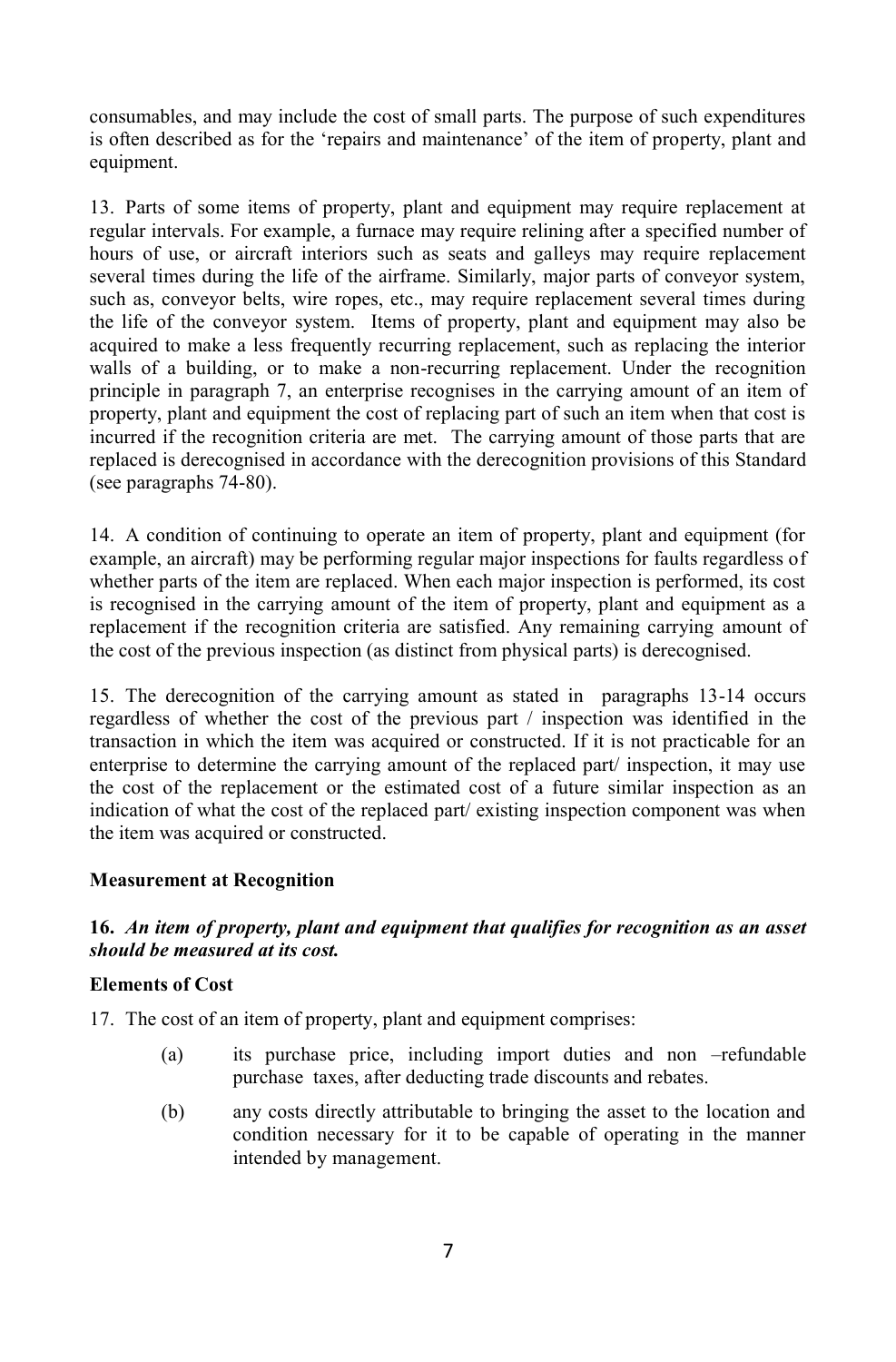consumables, and may include the cost of small parts. The purpose of such expenditures is often described as for the 'repairs and maintenance' of the item of property, plant and equipment.

13. Parts of some items of property, plant and equipment may require replacement at regular intervals. For example, a furnace may require relining after a specified number of hours of use, or aircraft interiors such as seats and galleys may require replacement several times during the life of the airframe. Similarly, major parts of conveyor system, such as, conveyor belts, wire ropes, etc., may require replacement several times during the life of the conveyor system. Items of property, plant and equipment may also be acquired to make a less frequently recurring replacement, such as replacing the interior walls of a building, or to make a non-recurring replacement. Under the recognition principle in paragraph 7, an enterprise recognises in the carrying amount of an item of property, plant and equipment the cost of replacing part of such an item when that cost is incurred if the recognition criteria are met. The carrying amount of those parts that are replaced is derecognised in accordance with the derecognition provisions of this Standard (see paragraphs 74-80).

14. A condition of continuing to operate an item of property, plant and equipment (for example, an aircraft) may be performing regular major inspections for faults regardless of whether parts of the item are replaced. When each major inspection is performed, its cost is recognised in the carrying amount of the item of property, plant and equipment as a replacement if the recognition criteria are satisfied. Any remaining carrying amount of the cost of the previous inspection (as distinct from physical parts) is derecognised.

15. The derecognition of the carrying amount as stated in paragraphs 13-14 occurs regardless of whether the cost of the previous part / inspection was identified in the transaction in which the item was acquired or constructed. If it is not practicable for an enterprise to determine the carrying amount of the replaced part/ inspection, it may use the cost of the replacement or the estimated cost of a future similar inspection as an indication of what the cost of the replaced part/ existing inspection component was when the item was acquired or constructed.

#### **Measurement at Recognition**

#### **16.** *An item of property, plant and equipment that qualifies for recognition as an asset should be measured at its cost.*

#### **Elements of Cost**

17. The cost of an item of property, plant and equipment comprises:

- (a) its purchase price, including import duties and non –refundable purchase taxes, after deducting trade discounts and rebates.
- (b) any costs directly attributable to bringing the asset to the location and condition necessary for it to be capable of operating in the manner intended by management.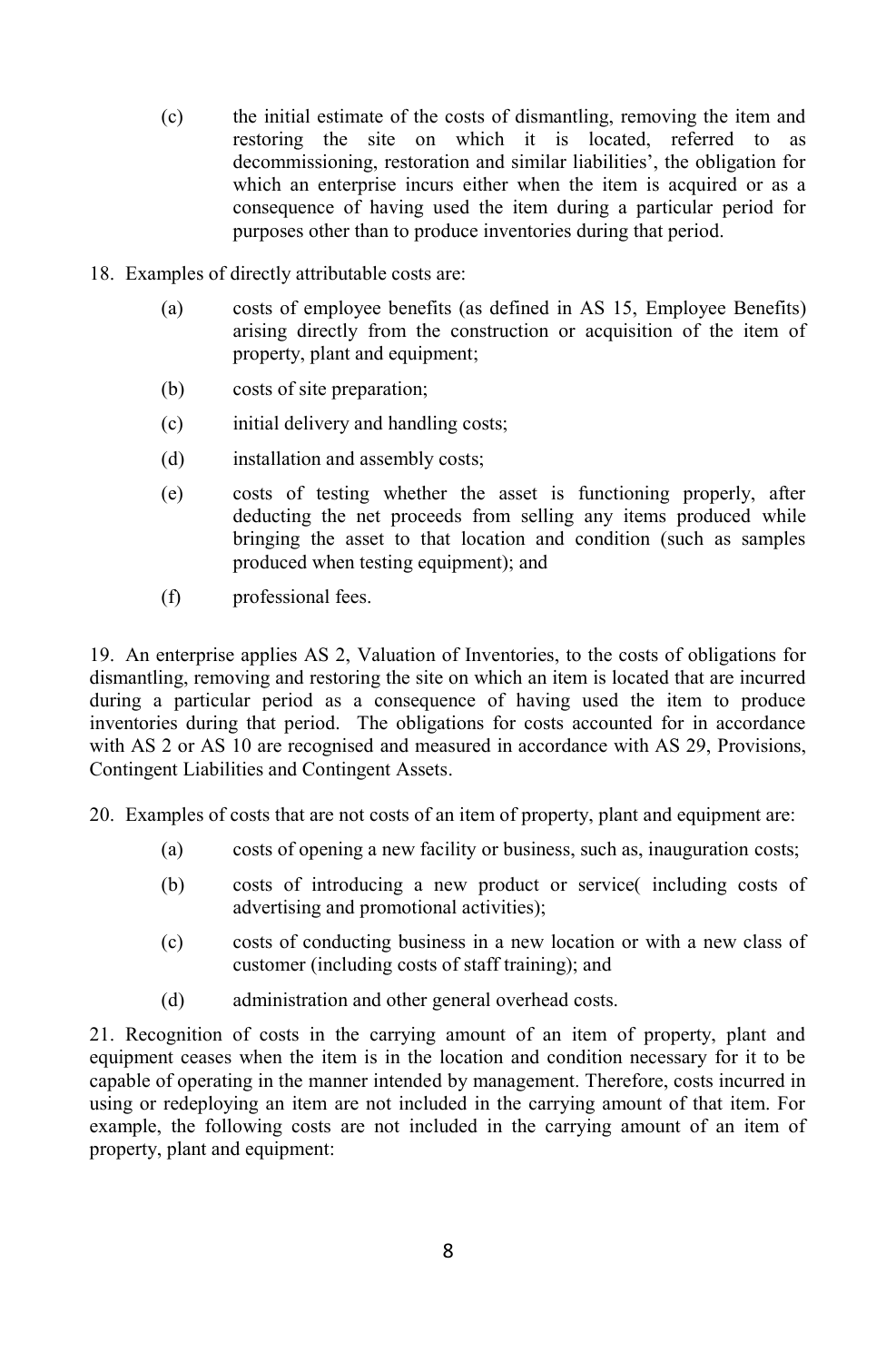- (c) the initial estimate of the costs of dismantling, removing the item and restoring the site on which it is located, referred to as decommissioning, restoration and similar liabilities', the obligation for which an enterprise incurs either when the item is acquired or as a consequence of having used the item during a particular period for purposes other than to produce inventories during that period.
- 18. Examples of directly attributable costs are:
	- (a) costs of employee benefits (as defined in AS 15, Employee Benefits) arising directly from the construction or acquisition of the item of property, plant and equipment;
	- (b) costs of site preparation;
	- (c) initial delivery and handling costs;
	- (d) installation and assembly costs;
	- (e) costs of testing whether the asset is functioning properly, after deducting the net proceeds from selling any items produced while bringing the asset to that location and condition (such as samples produced when testing equipment); and
	- (f) professional fees.

19. An enterprise applies AS 2, Valuation of Inventories, to the costs of obligations for dismantling, removing and restoring the site on which an item is located that are incurred during a particular period as a consequence of having used the item to produce inventories during that period. The obligations for costs accounted for in accordance with AS 2 or AS 10 are recognised and measured in accordance with AS 29, Provisions, Contingent Liabilities and Contingent Assets.

20. Examples of costs that are not costs of an item of property, plant and equipment are:

- (a) costs of opening a new facility or business, such as, inauguration costs;
- (b) costs of introducing a new product or service( including costs of advertising and promotional activities);
- (c) costs of conducting business in a new location or with a new class of customer (including costs of staff training); and
- (d) administration and other general overhead costs.

21. Recognition of costs in the carrying amount of an item of property, plant and equipment ceases when the item is in the location and condition necessary for it to be capable of operating in the manner intended by management. Therefore, costs incurred in using or redeploying an item are not included in the carrying amount of that item. For example, the following costs are not included in the carrying amount of an item of property, plant and equipment: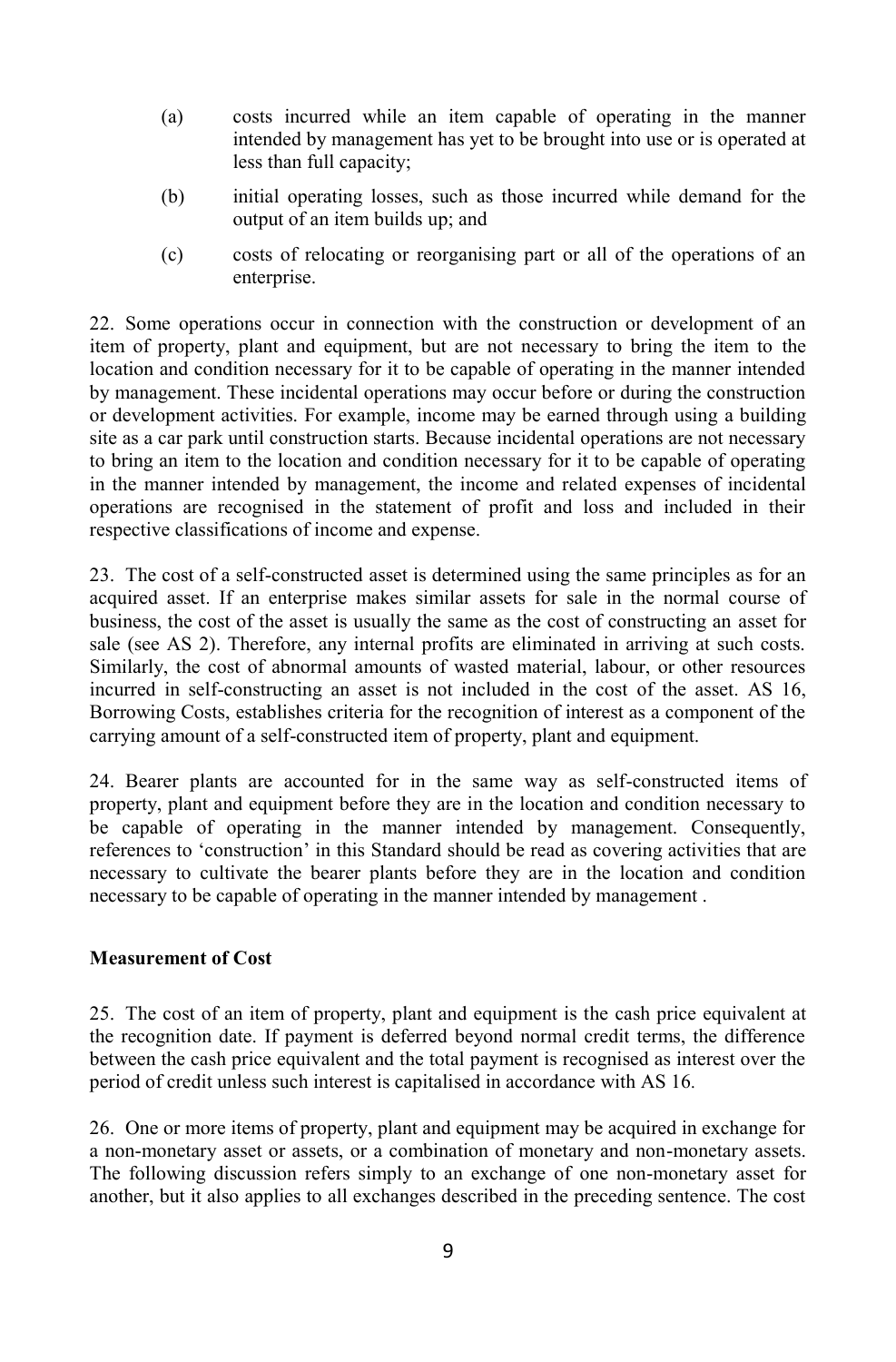- (a) costs incurred while an item capable of operating in the manner intended by management has yet to be brought into use or is operated at less than full capacity;
- (b) initial operating losses, such as those incurred while demand for the output of an item builds up; and
- (c) costs of relocating or reorganising part or all of the operations of an enterprise.

22. Some operations occur in connection with the construction or development of an item of property, plant and equipment, but are not necessary to bring the item to the location and condition necessary for it to be capable of operating in the manner intended by management. These incidental operations may occur before or during the construction or development activities. For example, income may be earned through using a building site as a car park until construction starts. Because incidental operations are not necessary to bring an item to the location and condition necessary for it to be capable of operating in the manner intended by management, the income and related expenses of incidental operations are recognised in the statement of profit and loss and included in their respective classifications of income and expense.

23. The cost of a self-constructed asset is determined using the same principles as for an acquired asset. If an enterprise makes similar assets for sale in the normal course of business, the cost of the asset is usually the same as the cost of constructing an asset for sale (see AS 2). Therefore, any internal profits are eliminated in arriving at such costs. Similarly, the cost of abnormal amounts of wasted material, labour, or other resources incurred in self-constructing an asset is not included in the cost of the asset. AS 16, Borrowing Costs, establishes criteria for the recognition of interest as a component of the carrying amount of a self-constructed item of property, plant and equipment.

24. Bearer plants are accounted for in the same way as self-constructed items of property, plant and equipment before they are in the location and condition necessary to be capable of operating in the manner intended by management. Consequently, references to 'construction' in this Standard should be read as covering activities that are necessary to cultivate the bearer plants before they are in the location and condition necessary to be capable of operating in the manner intended by management .

#### **Measurement of Cost**

25. The cost of an item of property, plant and equipment is the cash price equivalent at the recognition date. If payment is deferred beyond normal credit terms, the difference between the cash price equivalent and the total payment is recognised as interest over the period of credit unless such interest is capitalised in accordance with AS 16*.*

26. One or more items of property, plant and equipment may be acquired in exchange for a non-monetary asset or assets, or a combination of monetary and non-monetary assets. The following discussion refers simply to an exchange of one non-monetary asset for another, but it also applies to all exchanges described in the preceding sentence. The cost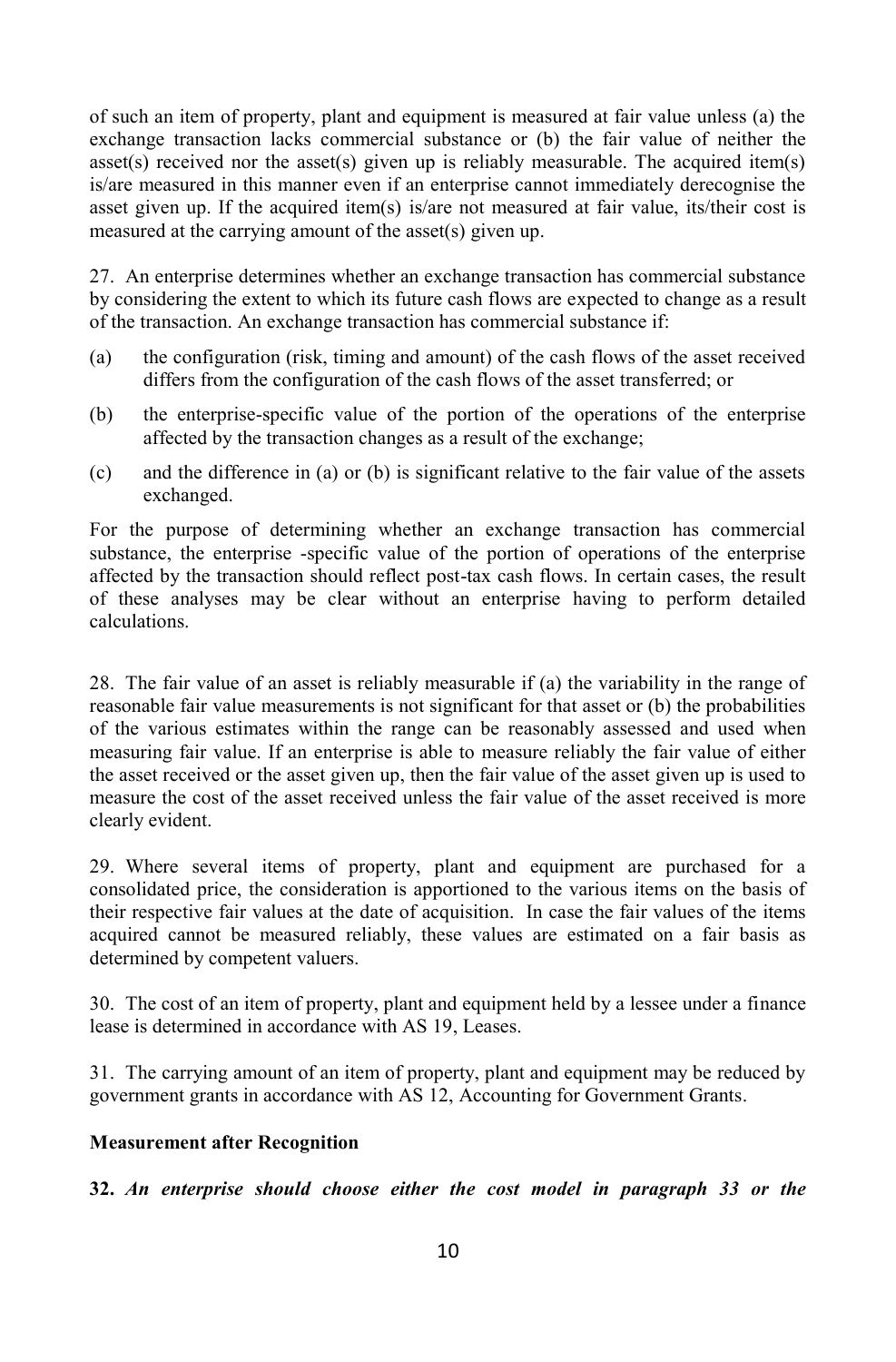of such an item of property, plant and equipment is measured at fair value unless (a) the exchange transaction lacks commercial substance or (b) the fair value of neither the asset(s) received nor the asset(s) given up is reliably measurable. The acquired item(s) is/are measured in this manner even if an enterprise cannot immediately derecognise the asset given up. If the acquired item(s) is/are not measured at fair value, its/their cost is measured at the carrying amount of the asset(s) given up.

27. An enterprise determines whether an exchange transaction has commercial substance by considering the extent to which its future cash flows are expected to change as a result of the transaction. An exchange transaction has commercial substance if:

- (a) the configuration (risk, timing and amount) of the cash flows of the asset received differs from the configuration of the cash flows of the asset transferred; or
- (b) the enterprise-specific value of the portion of the operations of the enterprise affected by the transaction changes as a result of the exchange;
- (c) and the difference in (a) or (b) is significant relative to the fair value of the assets exchanged.

For the purpose of determining whether an exchange transaction has commercial substance, the enterprise -specific value of the portion of operations of the enterprise affected by the transaction should reflect post-tax cash flows. In certain cases, the result of these analyses may be clear without an enterprise having to perform detailed calculations.

28. The fair value of an asset is reliably measurable if (a) the variability in the range of reasonable fair value measurements is not significant for that asset or (b) the probabilities of the various estimates within the range can be reasonably assessed and used when measuring fair value. If an enterprise is able to measure reliably the fair value of either the asset received or the asset given up, then the fair value of the asset given up is used to measure the cost of the asset received unless the fair value of the asset received is more clearly evident.

29. Where several items of property, plant and equipment are purchased for a consolidated price, the consideration is apportioned to the various items on the basis of their respective fair values at the date of acquisition. In case the fair values of the items acquired cannot be measured reliably, these values are estimated on a fair basis as determined by competent valuers.

30. The cost of an item of property, plant and equipment held by a lessee under a finance lease is determined in accordance with AS 19, Leases.

31. The carrying amount of an item of property, plant and equipment may be reduced by government grants in accordance with AS 12, Accounting for Government Grants.

# **Measurement after Recognition**

**32.** *An enterprise should choose either the cost model in paragraph 33 or the*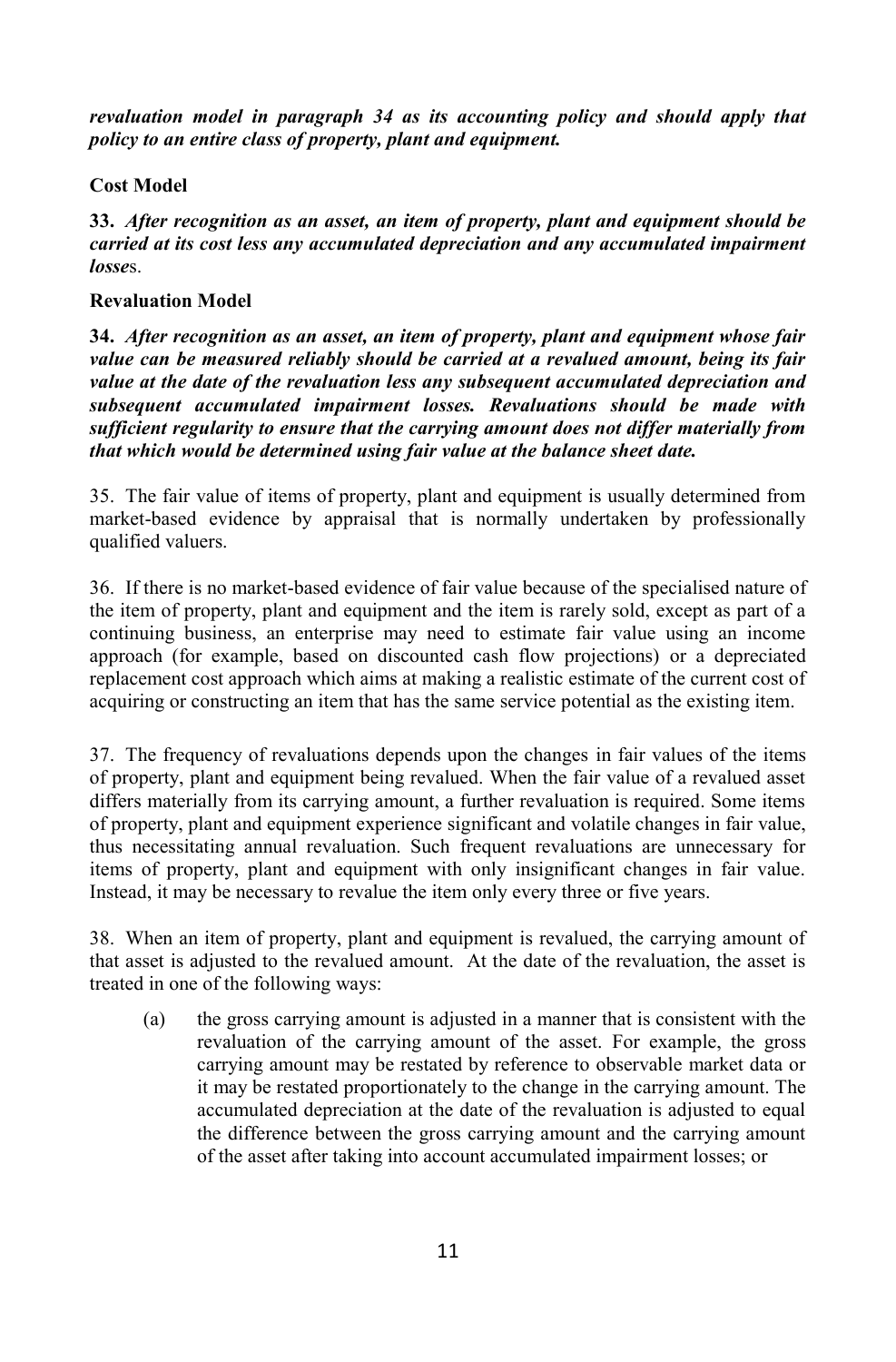*revaluation model in paragraph 34 as its accounting policy and should apply that policy to an entire class of property, plant and equipment.*

# **Cost Model**

**33.** *After recognition as an asset, an item of property, plant and equipment should be carried at its cost less any accumulated depreciation and any accumulated impairment losse*s.

#### **Revaluation Model**

**34.** *After recognition as an asset, an item of property, plant and equipment whose fair value can be measured reliably should be carried at a revalued amount, being its fair value at the date of the revaluation less any subsequent accumulated depreciation and subsequent accumulated impairment losses. Revaluations should be made with sufficient regularity to ensure that the carrying amount does not differ materially from that which would be determined using fair value at the balance sheet date.*

35. The fair value of items of property, plant and equipment is usually determined from market-based evidence by appraisal that is normally undertaken by professionally qualified valuers.

36. If there is no market-based evidence of fair value because of the specialised nature of the item of property, plant and equipment and the item is rarely sold, except as part of a continuing business, an enterprise may need to estimate fair value using an income approach (for example, based on discounted cash flow projections) or a depreciated replacement cost approach which aims at making a realistic estimate of the current cost of acquiring or constructing an item that has the same service potential as the existing item.

37. The frequency of revaluations depends upon the changes in fair values of the items of property, plant and equipment being revalued. When the fair value of a revalued asset differs materially from its carrying amount, a further revaluation is required. Some items of property, plant and equipment experience significant and volatile changes in fair value, thus necessitating annual revaluation. Such frequent revaluations are unnecessary for items of property, plant and equipment with only insignificant changes in fair value. Instead, it may be necessary to revalue the item only every three or five years.

38. When an item of property, plant and equipment is revalued, the carrying amount of that asset is adjusted to the revalued amount. At the date of the revaluation, the asset is treated in one of the following ways:

(a) the gross carrying amount is adjusted in a manner that is consistent with the revaluation of the carrying amount of the asset. For example, the gross carrying amount may be restated by reference to observable market data or it may be restated proportionately to the change in the carrying amount. The accumulated depreciation at the date of the revaluation is adjusted to equal the difference between the gross carrying amount and the carrying amount of the asset after taking into account accumulated impairment losses; or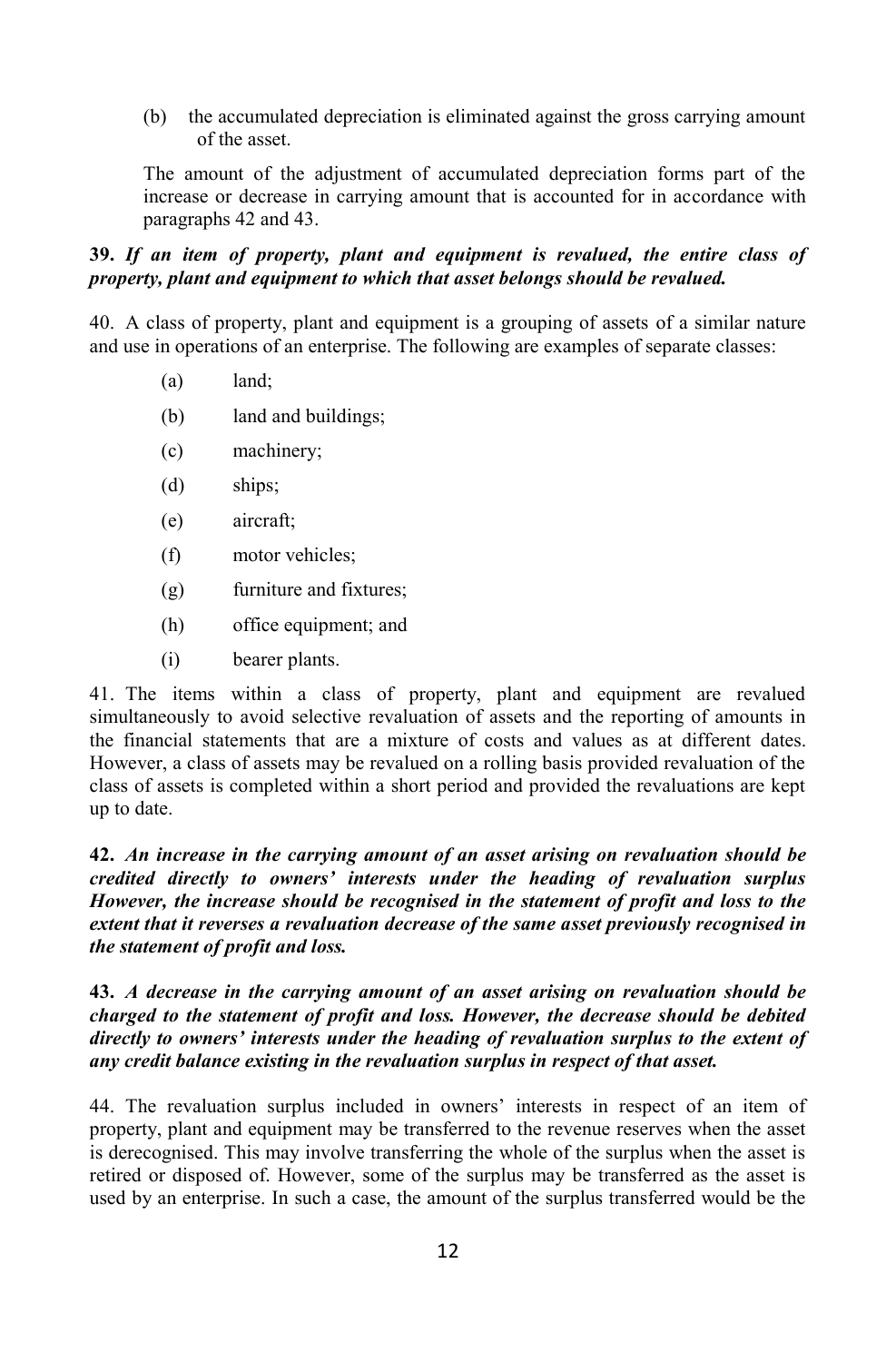(b) the accumulated depreciation is eliminated against the gross carrying amount of the asset.

The amount of the adjustment of accumulated depreciation forms part of the increase or decrease in carrying amount that is accounted for in accordance with paragraphs 42 and 43.

#### **39.** *If an item of property, plant and equipment is revalued, the entire class of property, plant and equipment to which that asset belongs should be revalued.*

40. A class of property, plant and equipment is a grouping of assets of a similar nature and use in operations of an enterprise. The following are examples of separate classes:

- (a) land;
- (b) land and buildings;
- (c) machinery;
- (d) ships;
- (e) aircraft;
- (f) motor vehicles;
- (g) furniture and fixtures;
- (h) office equipment; and
- (i) bearer plants.

41. The items within a class of property, plant and equipment are revalued simultaneously to avoid selective revaluation of assets and the reporting of amounts in the financial statements that are a mixture of costs and values as at different dates. However, a class of assets may be revalued on a rolling basis provided revaluation of the class of assets is completed within a short period and provided the revaluations are kept up to date.

**42.** *An increase in the carrying amount of an asset arising on revaluation should be credited directly to owners' interests under the heading of revaluation surplus However, the increase should be recognised in the statement of profit and loss to the extent that it reverses a revaluation decrease of the same asset previously recognised in the statement of profit and loss.*

#### **43.** *A decrease in the carrying amount of an asset arising on revaluation should be charged to the statement of profit and loss. However, the decrease should be debited directly to owners' interests under the heading of revaluation surplus to the extent of any credit balance existing in the revaluation surplus in respect of that asset.*

44. The revaluation surplus included in owners' interests in respect of an item of property, plant and equipment may be transferred to the revenue reserves when the asset is derecognised. This may involve transferring the whole of the surplus when the asset is retired or disposed of. However, some of the surplus may be transferred as the asset is used by an enterprise. In such a case, the amount of the surplus transferred would be the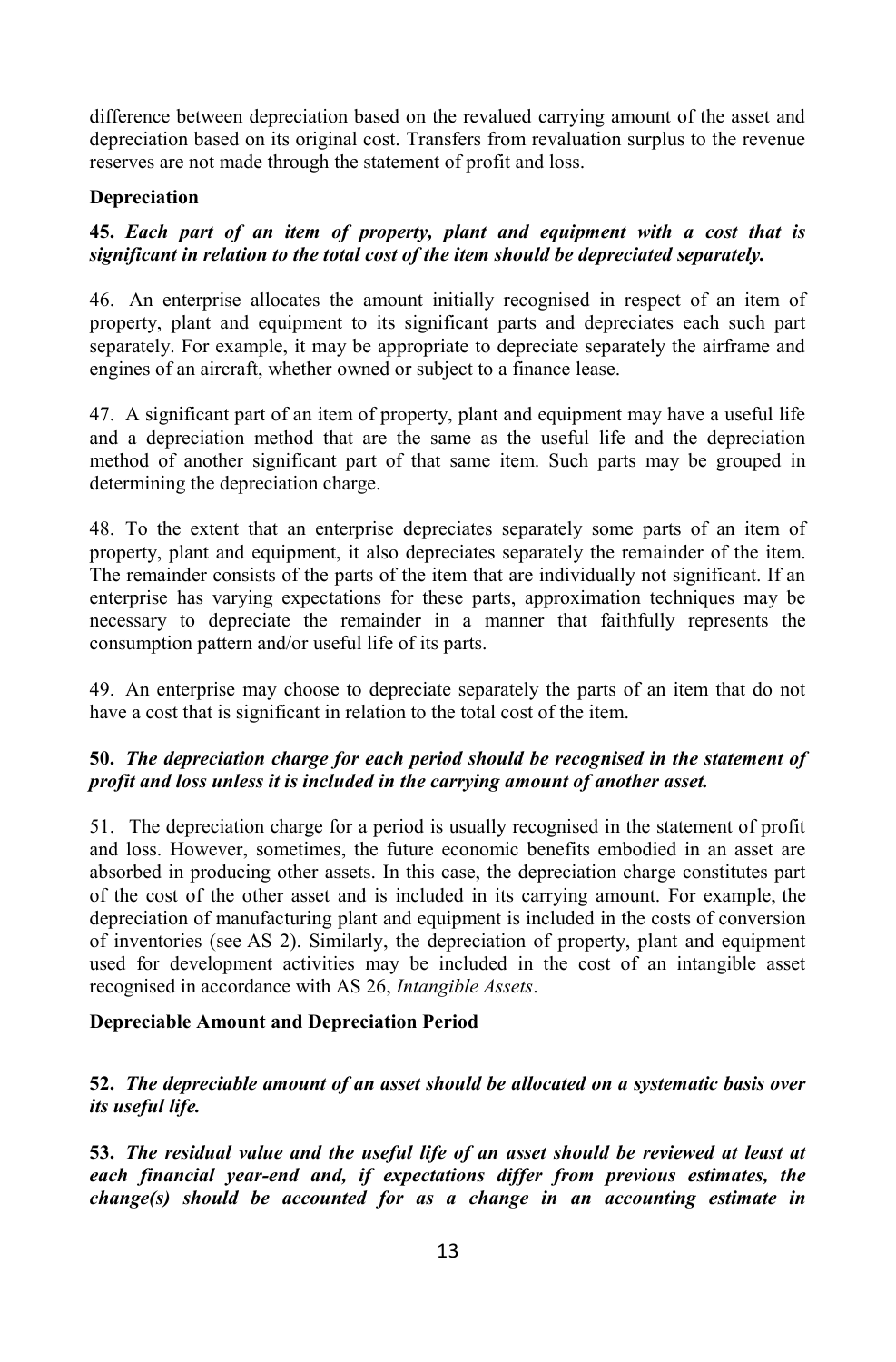difference between depreciation based on the revalued carrying amount of the asset and depreciation based on its original cost. Transfers from revaluation surplus to the revenue reserves are not made through the statement of profit and loss.

#### **Depreciation**

### **45.** *Each part of an item of property, plant and equipment with a cost that is significant in relation to the total cost of the item should be depreciated separately.*

46. An enterprise allocates the amount initially recognised in respect of an item of property, plant and equipment to its significant parts and depreciates each such part separately. For example, it may be appropriate to depreciate separately the airframe and engines of an aircraft, whether owned or subject to a finance lease.

47. A significant part of an item of property, plant and equipment may have a useful life and a depreciation method that are the same as the useful life and the depreciation method of another significant part of that same item. Such parts may be grouped in determining the depreciation charge.

48. To the extent that an enterprise depreciates separately some parts of an item of property, plant and equipment, it also depreciates separately the remainder of the item. The remainder consists of the parts of the item that are individually not significant. If an enterprise has varying expectations for these parts, approximation techniques may be necessary to depreciate the remainder in a manner that faithfully represents the consumption pattern and/or useful life of its parts.

49. An enterprise may choose to depreciate separately the parts of an item that do not have a cost that is significant in relation to the total cost of the item.

#### **50.** *The depreciation charge for each period should be recognised in the statement of profit and loss unless it is included in the carrying amount of another asset.*

51. The depreciation charge for a period is usually recognised in the statement of profit and loss. However, sometimes, the future economic benefits embodied in an asset are absorbed in producing other assets. In this case, the depreciation charge constitutes part of the cost of the other asset and is included in its carrying amount. For example, the depreciation of manufacturing plant and equipment is included in the costs of conversion of inventories (see AS 2). Similarly, the depreciation of property, plant and equipment used for development activities may be included in the cost of an intangible asset recognised in accordance with AS 26, *Intangible Assets*.

#### **Depreciable Amount and Depreciation Period**

#### **52.** *The depreciable amount of an asset should be allocated on a systematic basis over its useful life.*

**53.** *The residual value and the useful life of an asset should be reviewed at least at each financial year-end and, if expectations differ from previous estimates, the change(s) should be accounted for as a change in an accounting estimate in*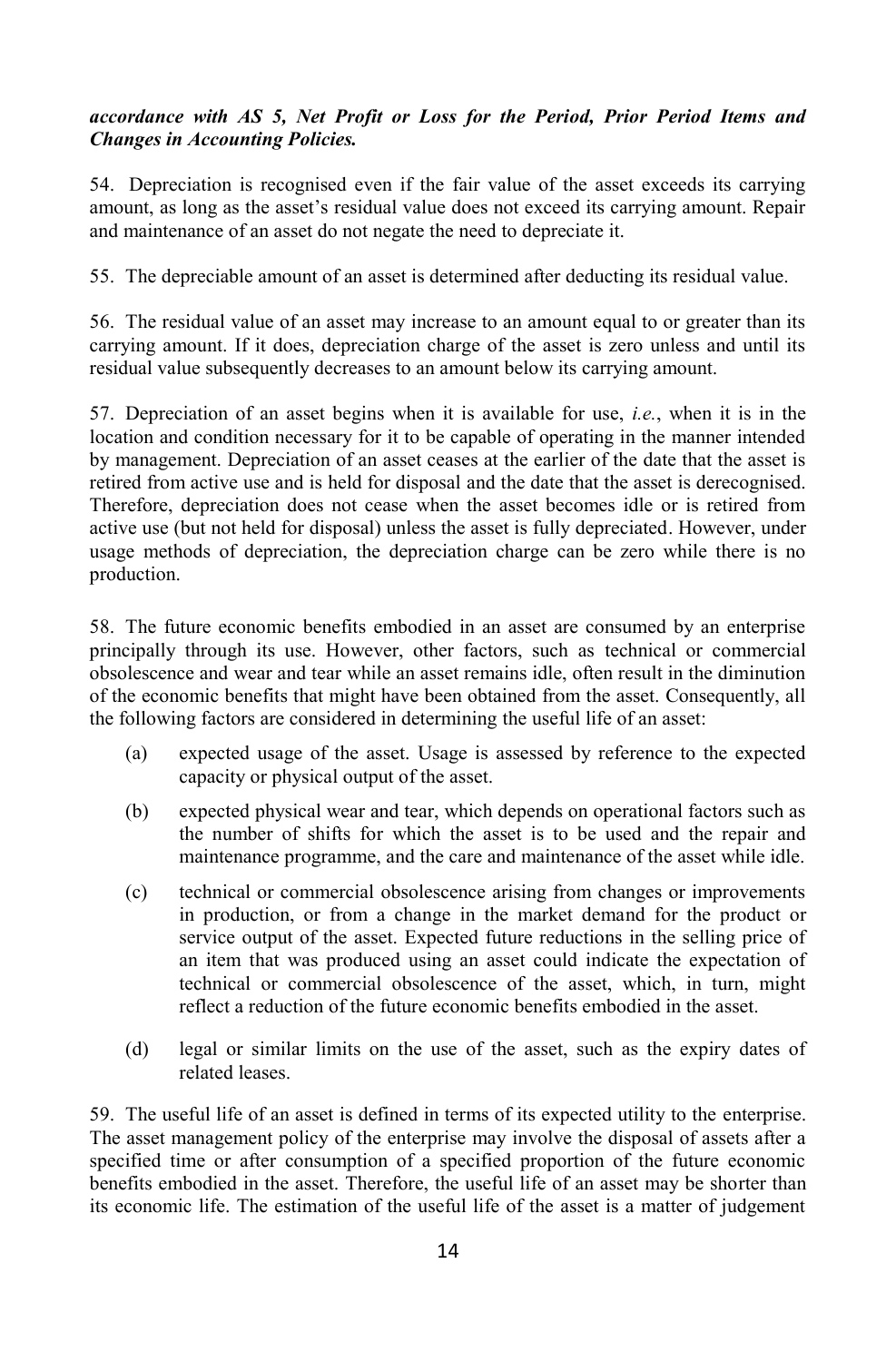# *accordance with AS 5, Net Profit or Loss for the Period, Prior Period Items and Changes in Accounting Policies.*

54. Depreciation is recognised even if the fair value of the asset exceeds its carrying amount, as long as the asset's residual value does not exceed its carrying amount. Repair and maintenance of an asset do not negate the need to depreciate it.

55. The depreciable amount of an asset is determined after deducting its residual value.

56. The residual value of an asset may increase to an amount equal to or greater than its carrying amount. If it does, depreciation charge of the asset is zero unless and until its residual value subsequently decreases to an amount below its carrying amount.

57. Depreciation of an asset begins when it is available for use, *i.e.*, when it is in the location and condition necessary for it to be capable of operating in the manner intended by management. Depreciation of an asset ceases at the earlier of the date that the asset is retired from active use and is held for disposal and the date that the asset is derecognised. Therefore, depreciation does not cease when the asset becomes idle or is retired from active use (but not held for disposal) unless the asset is fully depreciated. However, under usage methods of depreciation, the depreciation charge can be zero while there is no production.

58. The future economic benefits embodied in an asset are consumed by an enterprise principally through its use. However, other factors, such as technical or commercial obsolescence and wear and tear while an asset remains idle, often result in the diminution of the economic benefits that might have been obtained from the asset. Consequently, all the following factors are considered in determining the useful life of an asset:

- (a) expected usage of the asset. Usage is assessed by reference to the expected capacity or physical output of the asset.
- (b) expected physical wear and tear, which depends on operational factors such as the number of shifts for which the asset is to be used and the repair and maintenance programme, and the care and maintenance of the asset while idle.
- (c) technical or commercial obsolescence arising from changes or improvements in production, or from a change in the market demand for the product or service output of the asset. Expected future reductions in the selling price of an item that was produced using an asset could indicate the expectation of technical or commercial obsolescence of the asset, which, in turn, might reflect a reduction of the future economic benefits embodied in the asset.
- (d) legal or similar limits on the use of the asset, such as the expiry dates of related leases.

59. The useful life of an asset is defined in terms of its expected utility to the enterprise. The asset management policy of the enterprise may involve the disposal of assets after a specified time or after consumption of a specified proportion of the future economic benefits embodied in the asset. Therefore, the useful life of an asset may be shorter than its economic life. The estimation of the useful life of the asset is a matter of judgement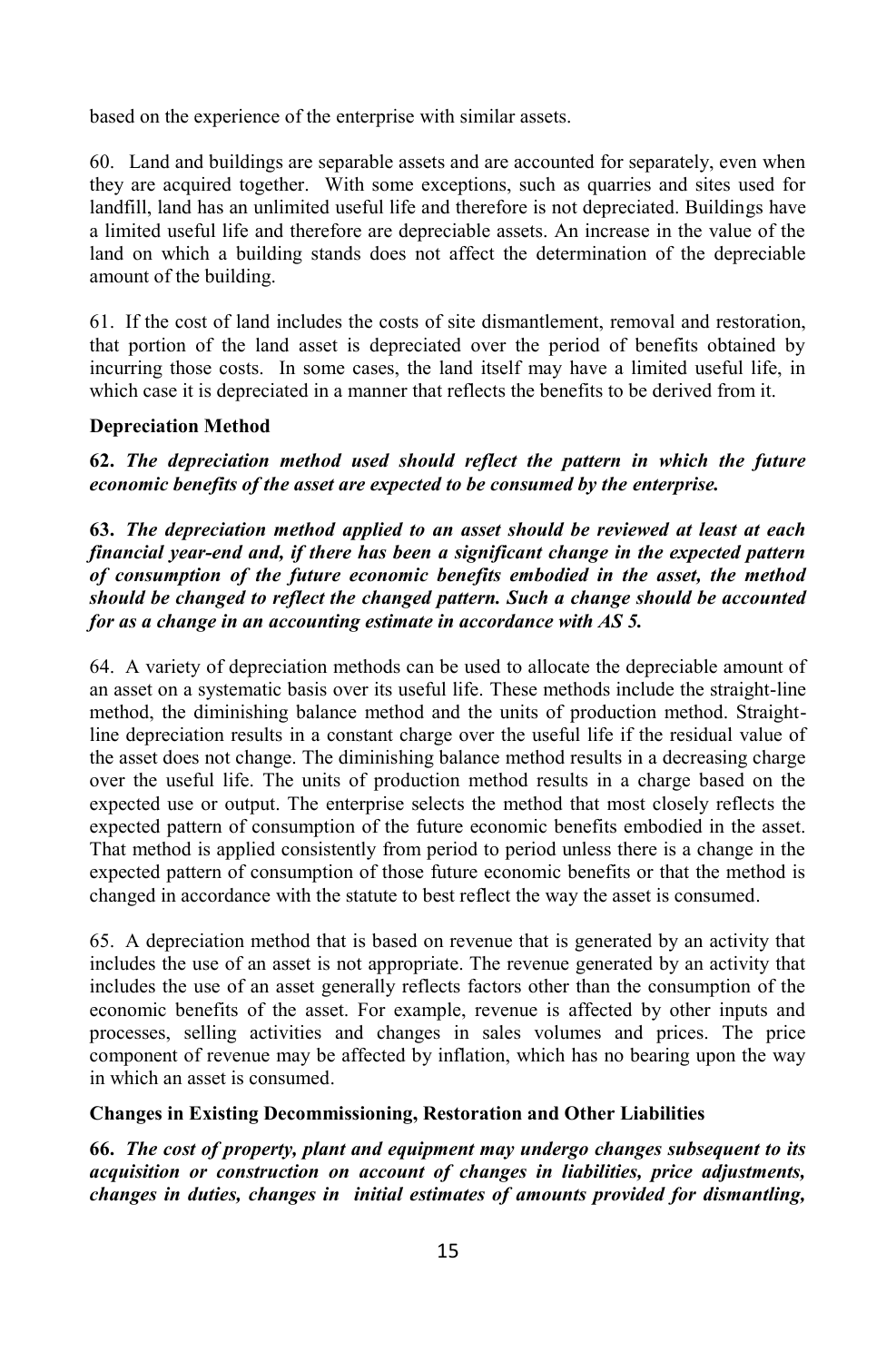based on the experience of the enterprise with similar assets.

60. Land and buildings are separable assets and are accounted for separately, even when they are acquired together. With some exceptions, such as quarries and sites used for landfill, land has an unlimited useful life and therefore is not depreciated. Buildings have a limited useful life and therefore are depreciable assets. An increase in the value of the land on which a building stands does not affect the determination of the depreciable amount of the building.

61. If the cost of land includes the costs of site dismantlement, removal and restoration, that portion of the land asset is depreciated over the period of benefits obtained by incurring those costs. In some cases, the land itself may have a limited useful life, in which case it is depreciated in a manner that reflects the benefits to be derived from it.

# **Depreciation Method**

**62.** *The depreciation method used should reflect the pattern in which the future economic benefits of the asset are expected to be consumed by the enterprise.*

**63.** *The depreciation method applied to an asset should be reviewed at least at each financial year-end and, if there has been a significant change in the expected pattern of consumption of the future economic benefits embodied in the asset, the method should be changed to reflect the changed pattern. Such a change should be accounted for as a change in an accounting estimate in accordance with AS 5.*

64. A variety of depreciation methods can be used to allocate the depreciable amount of an asset on a systematic basis over its useful life. These methods include the straight-line method, the diminishing balance method and the units of production method. Straightline depreciation results in a constant charge over the useful life if the residual value of the asset does not change. The diminishing balance method results in a decreasing charge over the useful life. The units of production method results in a charge based on the expected use or output. The enterprise selects the method that most closely reflects the expected pattern of consumption of the future economic benefits embodied in the asset. That method is applied consistently from period to period unless there is a change in the expected pattern of consumption of those future economic benefits or that the method is changed in accordance with the statute to best reflect the way the asset is consumed.

65. A depreciation method that is based on revenue that is generated by an activity that includes the use of an asset is not appropriate. The revenue generated by an activity that includes the use of an asset generally reflects factors other than the consumption of the economic benefits of the asset. For example, revenue is affected by other inputs and processes, selling activities and changes in sales volumes and prices. The price component of revenue may be affected by inflation, which has no bearing upon the way in which an asset is consumed.

#### **Changes in Existing Decommissioning, Restoration and Other Liabilities**

**66.** *The cost of property, plant and equipment may undergo changes subsequent to its acquisition or construction on account of changes in liabilities, price adjustments, changes in duties, changes in initial estimates of amounts provided for dismantling,*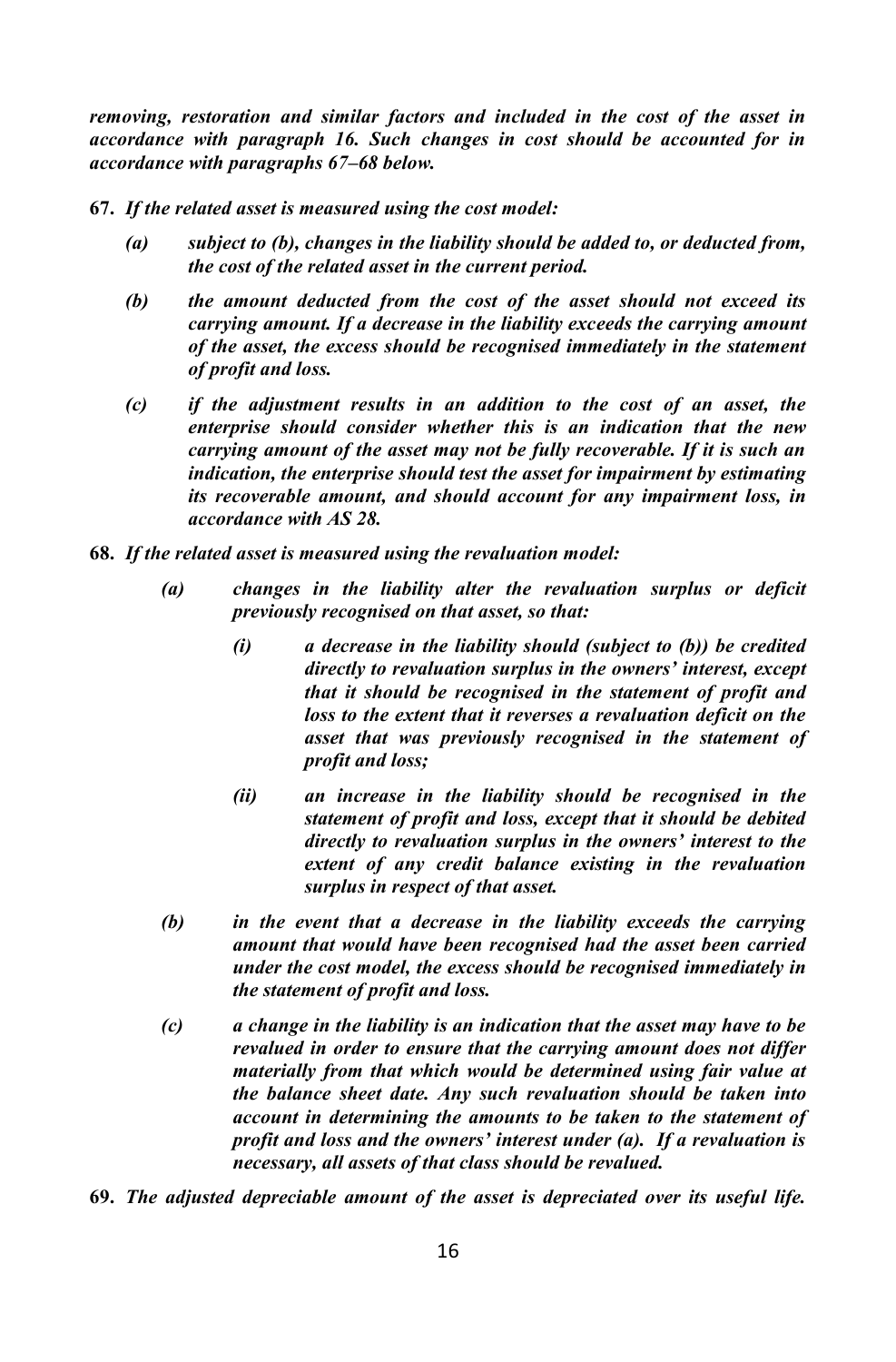*removing, restoration and similar factors and included in the cost of the asset in accordance with paragraph 16. Such changes in cost should be accounted for in accordance with paragraphs 67–68 below.*

**67.** *If the related asset is measured using the cost model:*

- *(a) subject to (b), changes in the liability should be added to, or deducted from, the cost of the related asset in the current period.*
- *(b) the amount deducted from the cost of the asset should not exceed its carrying amount. If a decrease in the liability exceeds the carrying amount of the asset, the excess should be recognised immediately in the statement of profit and loss.*
- *(c) if the adjustment results in an addition to the cost of an asset, the enterprise should consider whether this is an indication that the new carrying amount of the asset may not be fully recoverable. If it is such an indication, the enterprise should test the asset for impairment by estimating its recoverable amount, and should account for any impairment loss, in accordance with AS 28.*
- **68.** *If the related asset is measured using the revaluation model:*
	- *(a) changes in the liability alter the revaluation surplus or deficit previously recognised on that asset, so that:*
		- *(i) a decrease in the liability should (subject to (b)) be credited directly to revaluation surplus in the owners' interest, except that it should be recognised in the statement of profit and loss to the extent that it reverses a revaluation deficit on the asset that was previously recognised in the statement of profit and loss;*
		- *(ii) an increase in the liability should be recognised in the statement of profit and loss, except that it should be debited directly to revaluation surplus in the owners' interest to the extent of any credit balance existing in the revaluation surplus in respect of that asset.*
	- *(b) in the event that a decrease in the liability exceeds the carrying amount that would have been recognised had the asset been carried under the cost model, the excess should be recognised immediately in the statement of profit and loss.*
	- *(c) a change in the liability is an indication that the asset may have to be revalued in order to ensure that the carrying amount does not differ materially from that which would be determined using fair value at the balance sheet date. Any such revaluation should be taken into account in determining the amounts to be taken to the statement of profit and loss and the owners' interest under (a). If a revaluation is necessary, all assets of that class should be revalued.*
- **69.** *The adjusted depreciable amount of the asset is depreciated over its useful life.*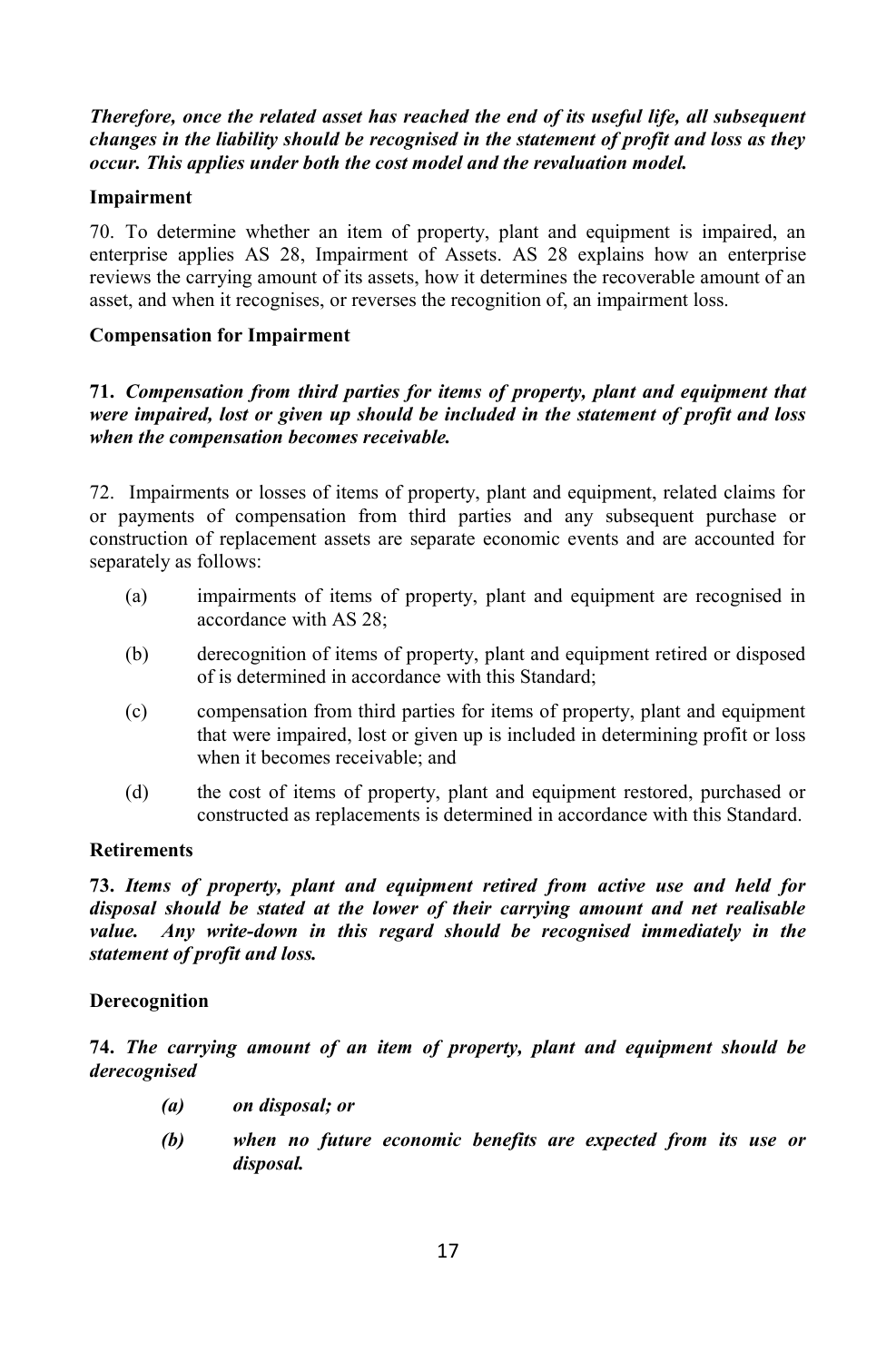*Therefore, once the related asset has reached the end of its useful life, all subsequent changes in the liability should be recognised in the statement of profit and loss as they occur. This applies under both the cost model and the revaluation model.*

#### **Impairment**

70. To determine whether an item of property, plant and equipment is impaired, an enterprise applies AS 28, Impairment of Assets. AS 28 explains how an enterprise reviews the carrying amount of its assets, how it determines the recoverable amount of an asset, and when it recognises, or reverses the recognition of, an impairment loss.

#### **Compensation for Impairment**

#### **71.** *Compensation from third parties for items of property, plant and equipment that were impaired, lost or given up should be included in the statement of profit and loss when the compensation becomes receivable.*

72. Impairments or losses of items of property, plant and equipment, related claims for or payments of compensation from third parties and any subsequent purchase or construction of replacement assets are separate economic events and are accounted for separately as follows:

- (a) impairments of items of property, plant and equipment are recognised in accordance with AS 28;
- (b) derecognition of items of property, plant and equipment retired or disposed of is determined in accordance with this Standard;
- (c) compensation from third parties for items of property, plant and equipment that were impaired, lost or given up is included in determining profit or loss when it becomes receivable; and
- (d) the cost of items of property, plant and equipment restored, purchased or constructed as replacements is determined in accordance with this Standard.

#### **Retirements**

**73.** *Items of property, plant and equipment retired from active use and held for disposal should be stated at the lower of their carrying amount and net realisable value. Any write-down in this regard should be recognised immediately in the statement of profit and loss.*

#### **Derecognition**

**74.** *The carrying amount of an item of property, plant and equipment should be derecognised*

- *(a) on disposal; or*
- *(b) when no future economic benefits are expected from its use or disposal.*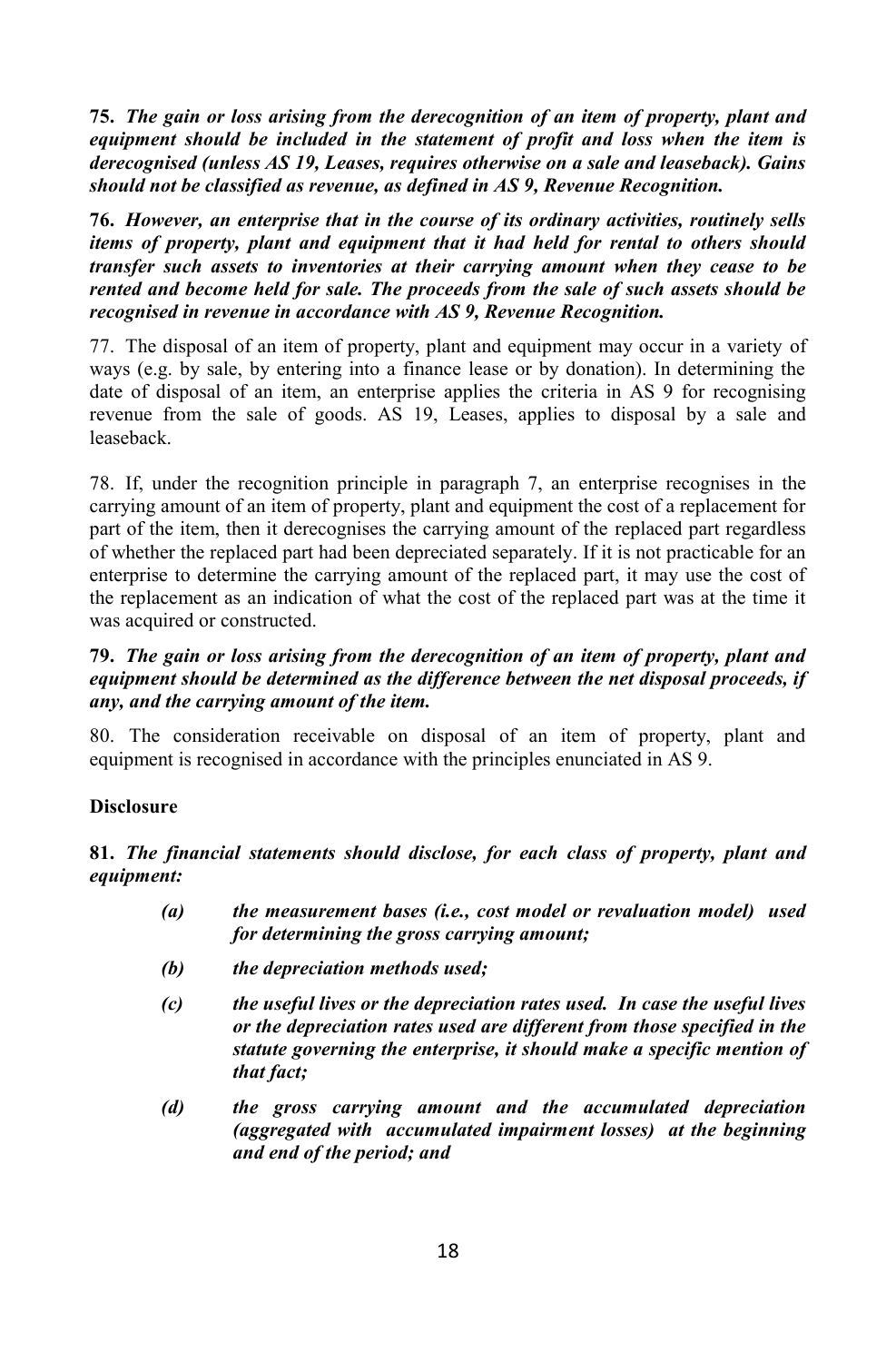**75.** *The gain or loss arising from the derecognition of an item of property, plant and equipment should be included in the statement of profit and loss when the item is derecognised (unless AS 19, Leases, requires otherwise on a sale and leaseback). Gains should not be classified as revenue, as defined in AS 9, Revenue Recognition.*

**76.** *However, an enterprise that in the course of its ordinary activities, routinely sells items of property, plant and equipment that it had held for rental to others should transfer such assets to inventories at their carrying amount when they cease to be rented and become held for sale. The proceeds from the sale of such assets should be recognised in revenue in accordance with AS 9, Revenue Recognition.*

77. The disposal of an item of property, plant and equipment may occur in a variety of ways (e.g. by sale, by entering into a finance lease or by donation). In determining the date of disposal of an item, an enterprise applies the criteria in AS 9 for recognising revenue from the sale of goods. AS 19, Leases, applies to disposal by a sale and leaseback.

78. If, under the recognition principle in paragraph 7, an enterprise recognises in the carrying amount of an item of property, plant and equipment the cost of a replacement for part of the item, then it derecognises the carrying amount of the replaced part regardless of whether the replaced part had been depreciated separately. If it is not practicable for an enterprise to determine the carrying amount of the replaced part, it may use the cost of the replacement as an indication of what the cost of the replaced part was at the time it was acquired or constructed.

### **79.** *The gain or loss arising from the derecognition of an item of property, plant and equipment should be determined as the difference between the net disposal proceeds, if any, and the carrying amount of the item.*

80. The consideration receivable on disposal of an item of property, plant and equipment is recognised in accordance with the principles enunciated in AS 9.

#### **Disclosure**

# **81.** *The financial statements should disclose, for each class of property, plant and equipment:*

- *(a) the measurement bases (i.e., cost model or revaluation model) used for determining the gross carrying amount;*
- *(b) the depreciation methods used;*
- *(c) the useful lives or the depreciation rates used. In case the useful lives or the depreciation rates used are different from those specified in the statute governing the enterprise, it should make a specific mention of that fact;*
- *(d) the gross carrying amount and the accumulated depreciation (aggregated with accumulated impairment losses) at the beginning and end of the period; and*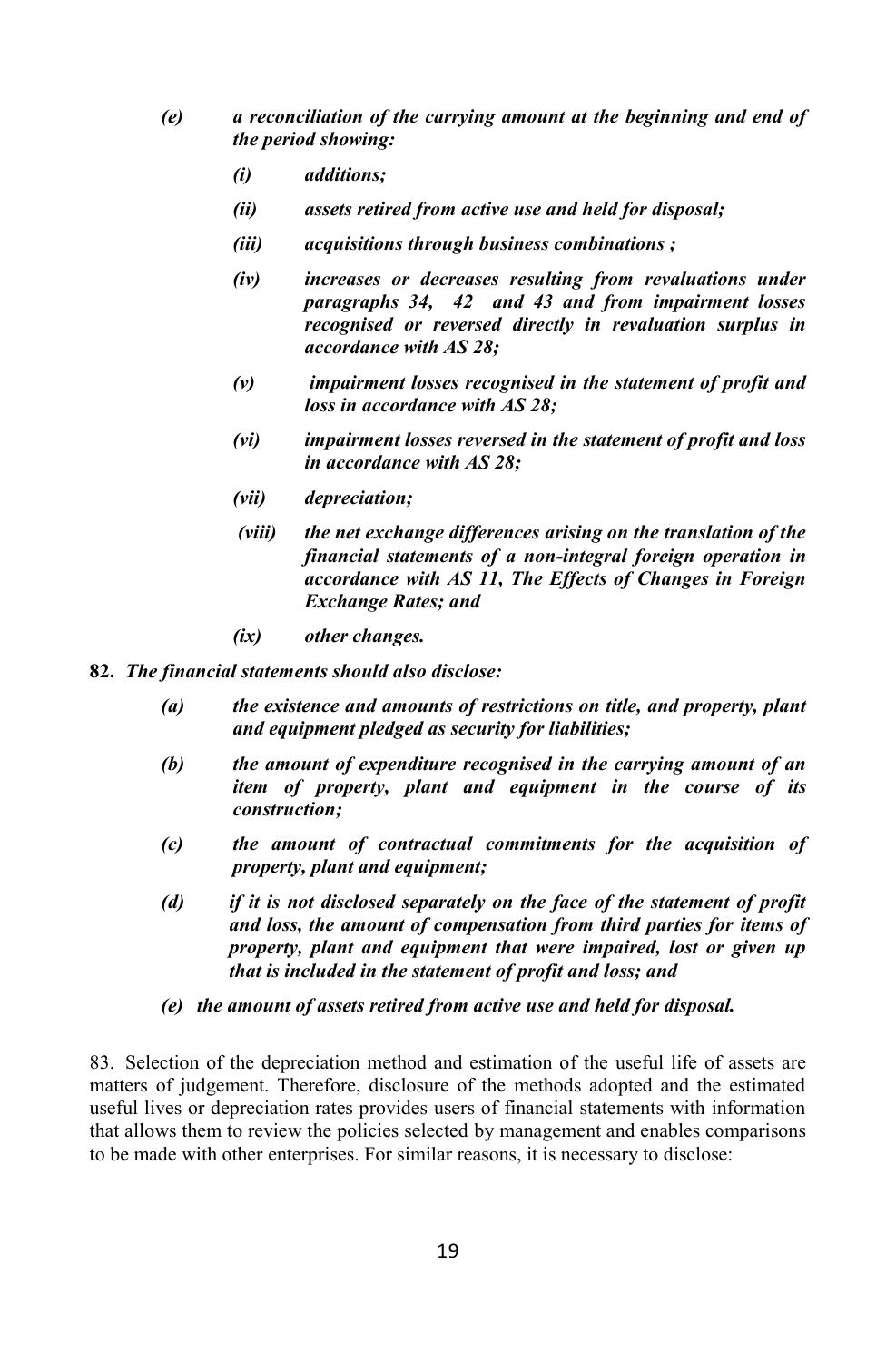- *(e) a reconciliation of the carrying amount at the beginning and end of the period showing:*
	- *(i) additions;*
	- *(ii) assets retired from active use and held for disposal;*
	- *(iii) acquisitions through business combinations ;*
	- *(iv) increases or decreases resulting from revaluations under paragraphs 34, 42 and 43 and from impairment losses recognised or reversed directly in revaluation surplus in accordance with AS 28;*
	- *(v) impairment losses recognised in the statement of profit and loss in accordance with AS 28;*
	- *(vi) impairment losses reversed in the statement of profit and loss in accordance with AS 28;*
	- *(vii) depreciation;*
	- *(viii) the net exchange differences arising on the translation of the financial statements of a non-integral foreign operation in accordance with AS 11, The Effects of Changes in Foreign Exchange Rates; and*
	- *(ix) other changes.*
- **82.** *The financial statements should also disclose:*
	- *(a) the existence and amounts of restrictions on title, and property, plant and equipment pledged as security for liabilities;*
	- *(b) the amount of expenditure recognised in the carrying amount of an item of property, plant and equipment in the course of its construction;*
	- *(c) the amount of contractual commitments for the acquisition of property, plant and equipment;*
	- *(d) if it is not disclosed separately on the face of the statement of profit and loss, the amount of compensation from third parties for items of property, plant and equipment that were impaired, lost or given up that is included in the statement of profit and loss; and*
	- *(e) the amount of assets retired from active use and held for disposal.*

83. Selection of the depreciation method and estimation of the useful life of assets are matters of judgement. Therefore, disclosure of the methods adopted and the estimated useful lives or depreciation rates provides users of financial statements with information that allows them to review the policies selected by management and enables comparisons to be made with other enterprises. For similar reasons, it is necessary to disclose: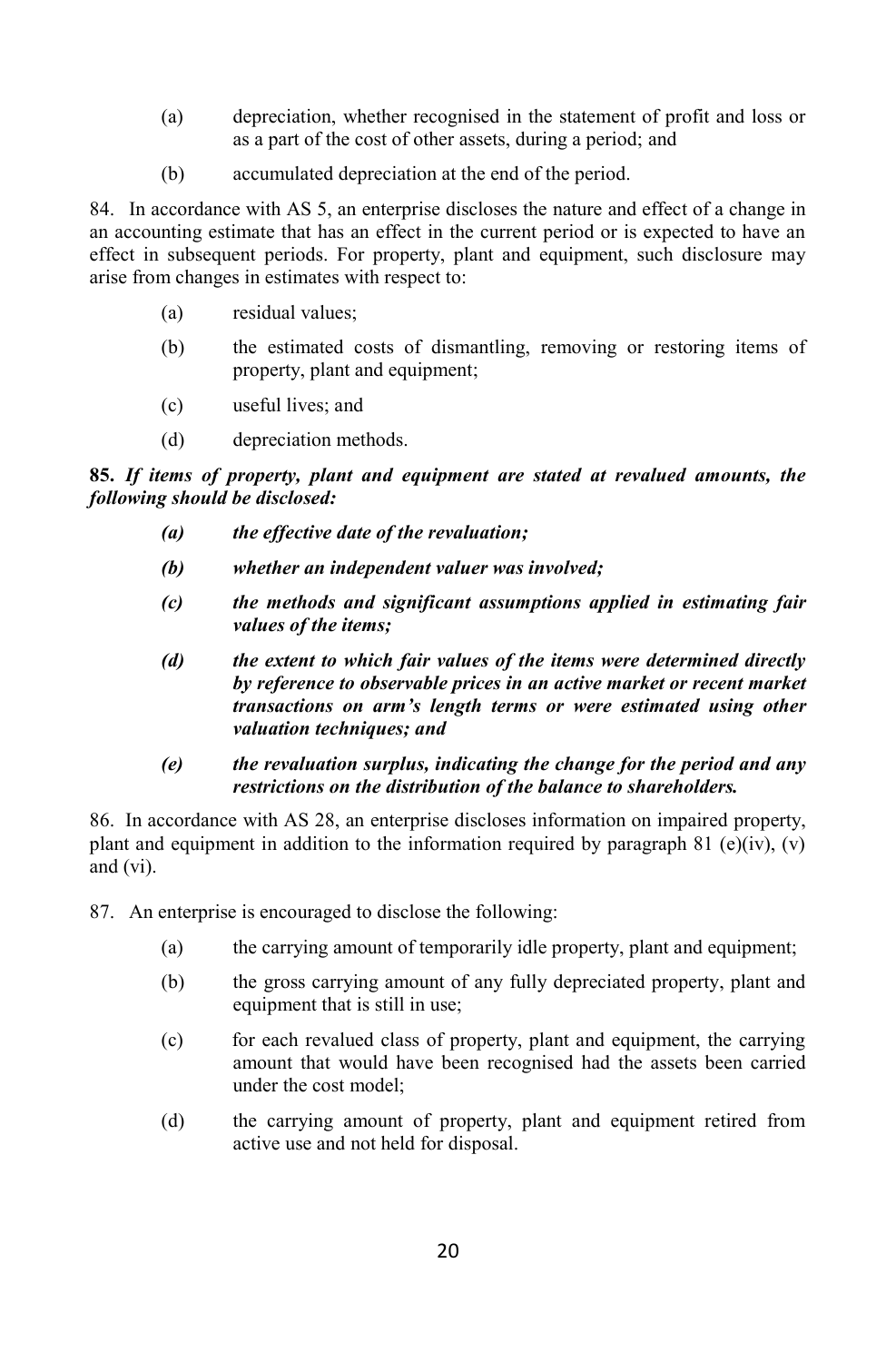- (a) depreciation, whether recognised in the statement of profit and loss or as a part of the cost of other assets, during a period; and
- (b) accumulated depreciation at the end of the period.

84. In accordance with AS 5, an enterprise discloses the nature and effect of a change in an accounting estimate that has an effect in the current period or is expected to have an effect in subsequent periods. For property, plant and equipment, such disclosure may arise from changes in estimates with respect to:

- (a) residual values;
- (b) the estimated costs of dismantling, removing or restoring items of property, plant and equipment;
- (c) useful lives; and
- (d) depreciation methods.

### **85.** *If items of property, plant and equipment are stated at revalued amounts, the following should be disclosed:*

- *(a) the effective date of the revaluation;*
- *(b) whether an independent valuer was involved;*
- *(c) the methods and significant assumptions applied in estimating fair values of the items;*
- *(d) the extent to which fair values of the items were determined directly by reference to observable prices in an active market or recent market transactions on arm's length terms or were estimated using other valuation techniques; and*
- *(e) the revaluation surplus, indicating the change for the period and any restrictions on the distribution of the balance to shareholders.*

86. In accordance with AS 28, an enterprise discloses information on impaired property, plant and equipment in addition to the information required by paragraph 81 (e)(iv), (v) and (vi).

- 87. An enterprise is encouraged to disclose the following:
	- (a) the carrying amount of temporarily idle property, plant and equipment;
	- (b) the gross carrying amount of any fully depreciated property, plant and equipment that is still in use;
	- (c) for each revalued class of property, plant and equipment, the carrying amount that would have been recognised had the assets been carried under the cost model;
	- (d) the carrying amount of property, plant and equipment retired from active use and not held for disposal.